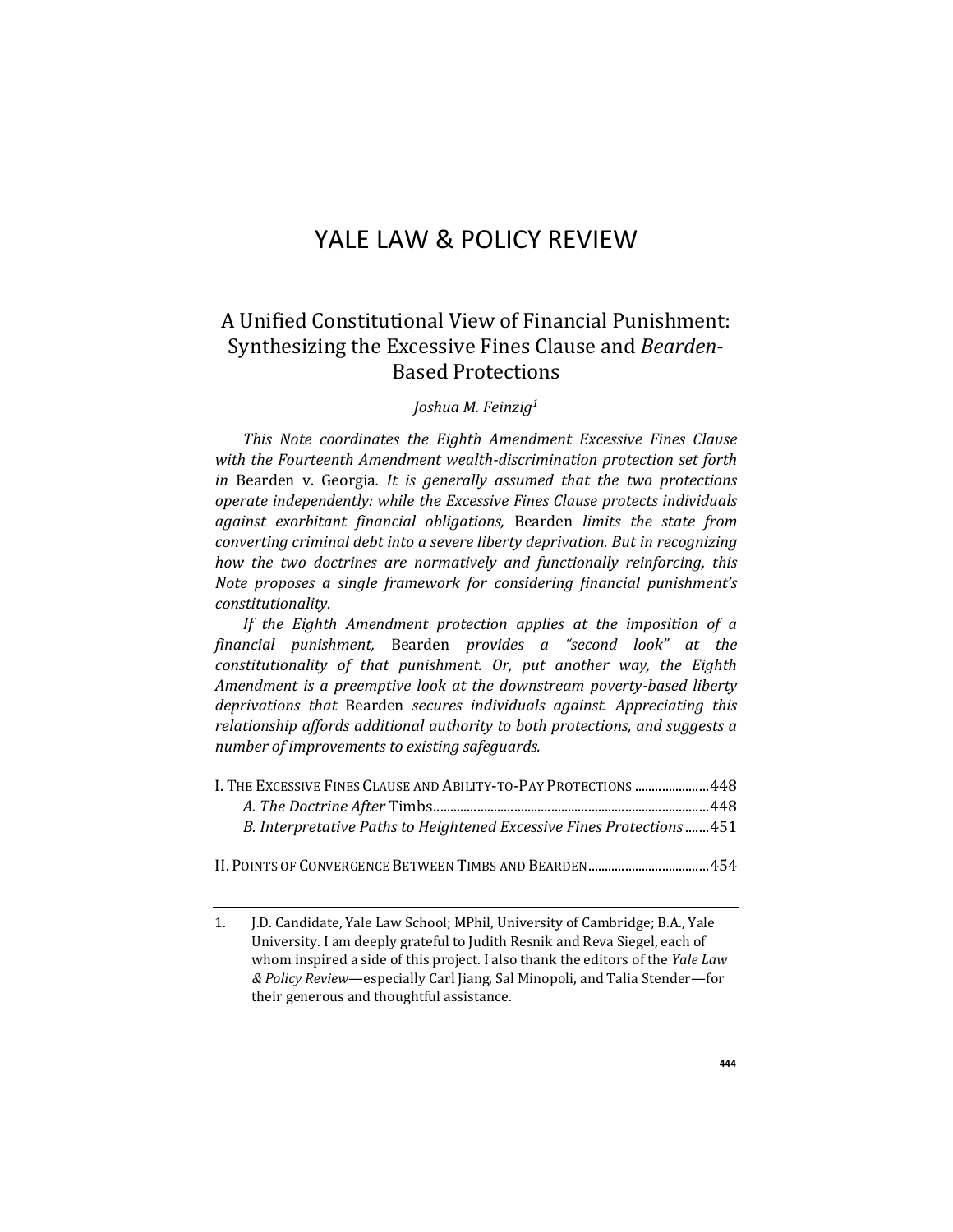# YALE LAW & POLICY REVIEW

# A Unified Constitutional View of Financial Punishment: Synthesizing the Excessive Fines Clause and *Bearden*-Based Protections

## *Joshua M. Feinzig<sup>1</sup>*

*This Note coordinates the Eighth Amendment Excessive Fines Clause with the Fourteenth Amendment wealth-discrimination protection set forth in* Bearden v. Georgia*. It is generally assumed that the two protections operate independently: while the Excessive Fines Clause protects individuals against exorbitant financial obligations,* Bearden *limits the state from converting criminal debt into a severe liberty deprivation. But in recognizing how the two doctrines are normatively and functionally reinforcing, this Note proposes a single framework for considering financial punishment's constitutionality.* 

*If the Eighth Amendment protection applies at the imposition of a financial punishment,* Bearden *provides a "second look" at the constitutionality of that punishment. Or, put another way, the Eighth Amendment is a preemptive look at the downstream poverty-based liberty deprivations that* Bearden *secures individuals against. Appreciating this relationship affords additional authority to both protections, and suggests a number of improvements to existing safeguards.*

| I. THE EXCESSIVE FINES CLAUSE AND ABILITY-TO-PAY PROTECTIONS  448      |  |
|------------------------------------------------------------------------|--|
|                                                                        |  |
| B. Interpretative Paths to Heightened Excessive Fines Protections  451 |  |
|                                                                        |  |

II. POINTS OF CONVERGENCE BETWEEN TIMBS AND BEARDEN................................... 454

<sup>1.</sup> J.D. Candidate, Yale Law School; MPhil, University of Cambridge; B.A., Yale University. I am deeply grateful to Judith Resnik and Reva Siegel, each of whom inspired a side of this project. I also thank the editors of the *Yale Law & Policy Review*—especially Carl Jiang, Sal Minopoli, and Talia Stender—for their generous and thoughtful assistance.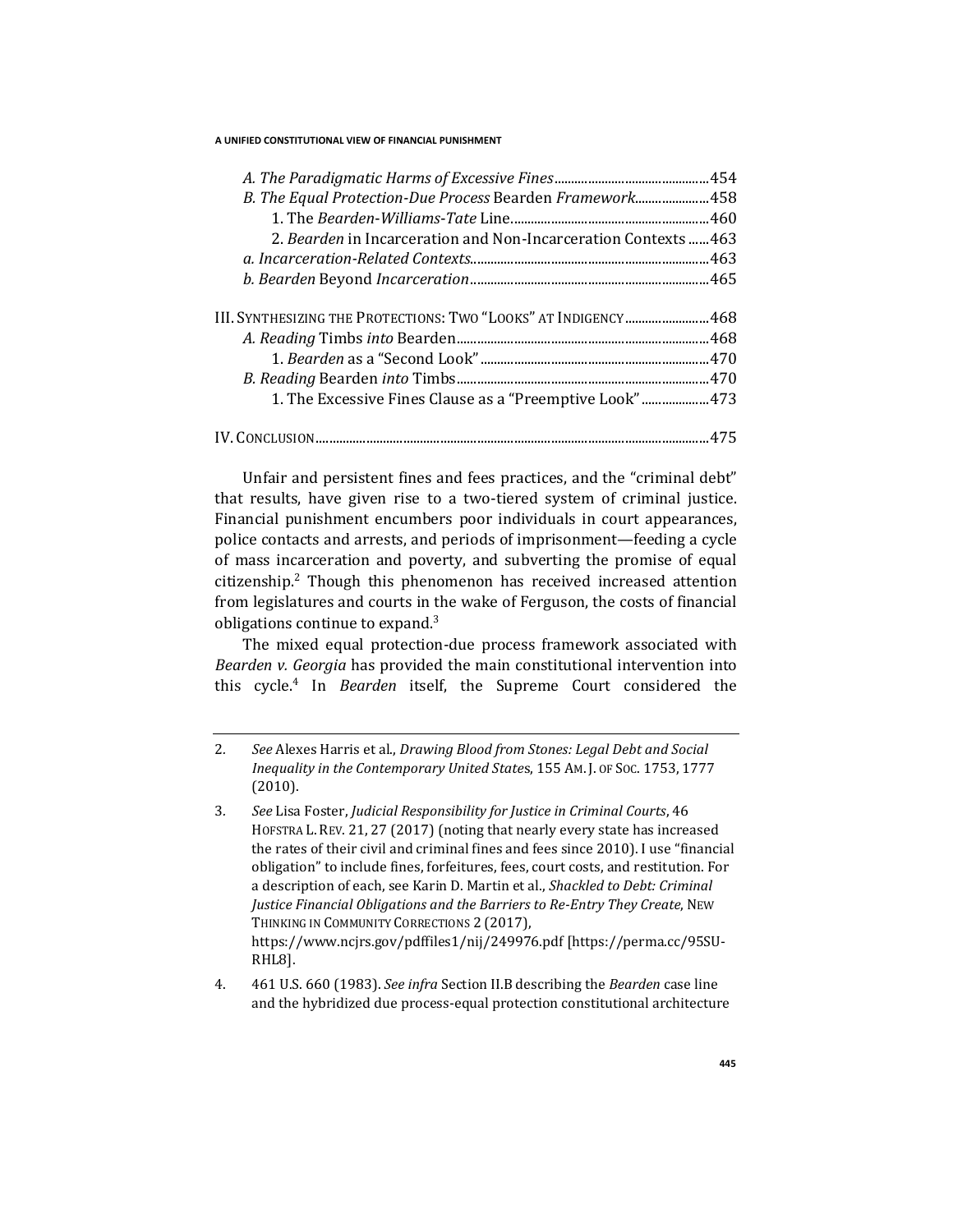| B. The Equal Protection-Due Process Bearden Framework458        |  |
|-----------------------------------------------------------------|--|
|                                                                 |  |
| 2. Bearden in Incarceration and Non-Incarceration Contexts  463 |  |
|                                                                 |  |
|                                                                 |  |
| III. Synthesizing the Protections: Two "Looks" at Indigency468  |  |
|                                                                 |  |
|                                                                 |  |
|                                                                 |  |
| 1. The Excessive Fines Clause as a "Preemptive Look"473         |  |
|                                                                 |  |
|                                                                 |  |

Unfair and persistent fines and fees practices, and the "criminal debt" that results, have given rise to a two-tiered system of criminal justice. Financial punishment encumbers poor individuals in court appearances, police contacts and arrests, and periods of imprisonment—feeding a cycle of mass incarceration and poverty, and subverting the promise of equal citizenship.<sup>2</sup> Though this phenomenon has received increased attention from legislatures and courts in the wake of Ferguson, the costs of financial obligations continue to expand. $3$ 

The mixed equal protection-due process framework associated with *Bearden v. Georgia* has provided the main constitutional intervention into this cycle.<sup>4</sup> In *Bearden* itself, the Supreme Court considered the

<sup>2</sup>*. See* Alexes Harris et al., *Drawing Blood from Stones: Legal Debt and Social Inequality in the Contemporary United State*s, 155 AM. J. OF SOC. 1753, 1777 (2010).

<sup>3</sup>*. See* Lisa Foster, *Judicial Responsibility for Justice in Criminal Courts*, 46 HOFSTRA L. REV. 21, 27 (2017) (noting that nearly every state has increased the rates of their civil and criminal fines and fees since 2010). I use "financial obligation" to include fines, forfeitures, fees, court costs, and restitution. For a description of each, see Karin D. Martin et al., *Shackled to Debt: Criminal Justice Financial Obligations and the Barriers to Re-Entry They Create*, NEW THINKING IN COMMUNITY CORRECTIONS 2 (2017), https://www.ncjrs.gov/pdffiles1/nij/249976.pdf [https://perma.cc/95SU-RHL8].

<sup>4.</sup> 461 U.S. 660 (1983). *See infra* Section II.B describing the *Bearden* case line and the hybridized due process-equal protection constitutional architecture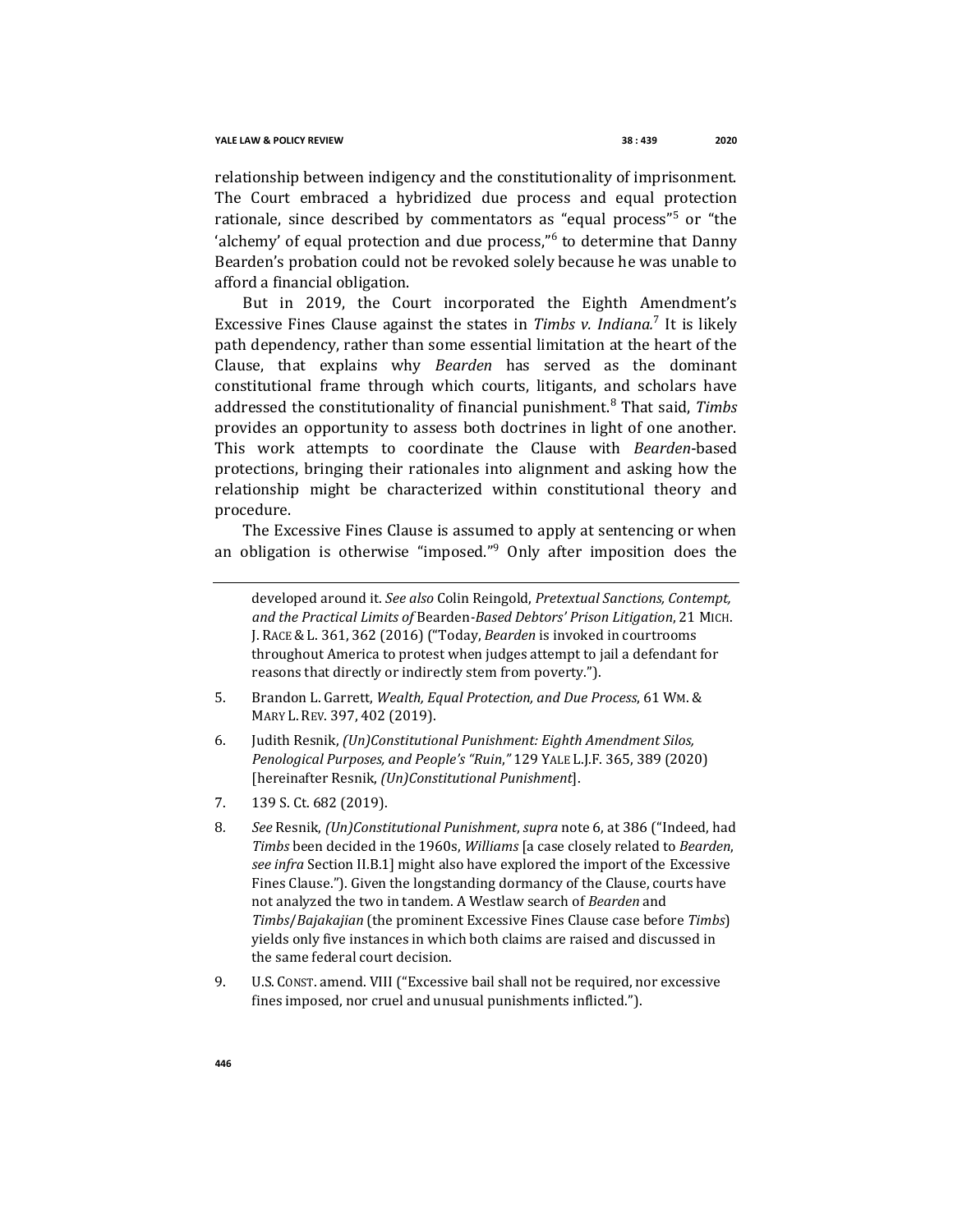relationship between indigency and the constitutionality of imprisonment. The Court embraced a hybridized due process and equal protection rationale, since described by commentators as "equal process"<sup>5</sup> or "the 'alchemy' of equal protection and due process,"<sup>6</sup> to determine that Danny Bearden's probation could not be revoked solely because he was unable to afford a financial obligation.

But in 2019, the Court incorporated the Eighth Amendment's Excessive Fines Clause against the states in *Timbs v. Indiana.*<sup>7</sup> It is likely path dependency, rather than some essential limitation at the heart of the Clause, that explains why *Bearden* has served as the dominant constitutional frame through which courts, litigants, and scholars have addressed the constitutionality of financial punishment.<sup>8</sup> That said, *Timbs*  provides an opportunity to assess both doctrines in light of one another. This work attempts to coordinate the Clause with *Bearden*-based protections, bringing their rationales into alignment and asking how the relationship might be characterized within constitutional theory and procedure.

The Excessive Fines Clause is assumed to apply at sentencing or when an obligation is otherwise "imposed."<sup>9</sup> Only after imposition does the

developed around it. *See also* Colin Reingold, *Pretextual Sanctions, Contempt, and the Practical Limits of* Bearden*-Based Debtors' Prison Litigation*, 21 MICH. J. RACE & L. 361, 362 (2016) ("Today, *Bearden* is invoked in courtrooms throughout America to protest when judges attempt to jail a defendant for reasons that directly or indirectly stem from poverty.").

- 5. Brandon L. Garrett, *Wealth, Equal Protection, and Due Process*, 61 WM. & MARY L. REV. 397, 402 (2019).
- 6. Judith Resnik, *(Un)Constitutional Punishment: Eighth Amendment Silos, Penological Purposes, and People's "Ruin*,*"* 129 YALE L.J.F. 365, 389 (2020) [hereinafter Resnik, *(Un)Constitutional Punishment*].
- 7. 139 S. Ct. 682 (2019).
- 8*. See* Resnik, *(Un)Constitutional Punishment*, *supra* note 6, at 386 ("Indeed, had *Timbs* been decided in the 1960s, *Williams* [a case closely related to *Bearden*, *see infra* Section II.B.1] might also have explored the import of the Excessive Fines Clause."). Given the longstanding dormancy of the Clause, courts have not analyzed the two in tandem. A Westlaw search of *Bearden* and *Timbs*/*Bajakajian* (the prominent Excessive Fines Clause case before *Timbs*) yields only five instances in which both claims are raised and discussed in the same federal court decision.
- 9. U.S. CONST. amend. VIII ("Excessive bail shall not be required, nor excessive fines imposed, nor cruel and unusual punishments inflicted.").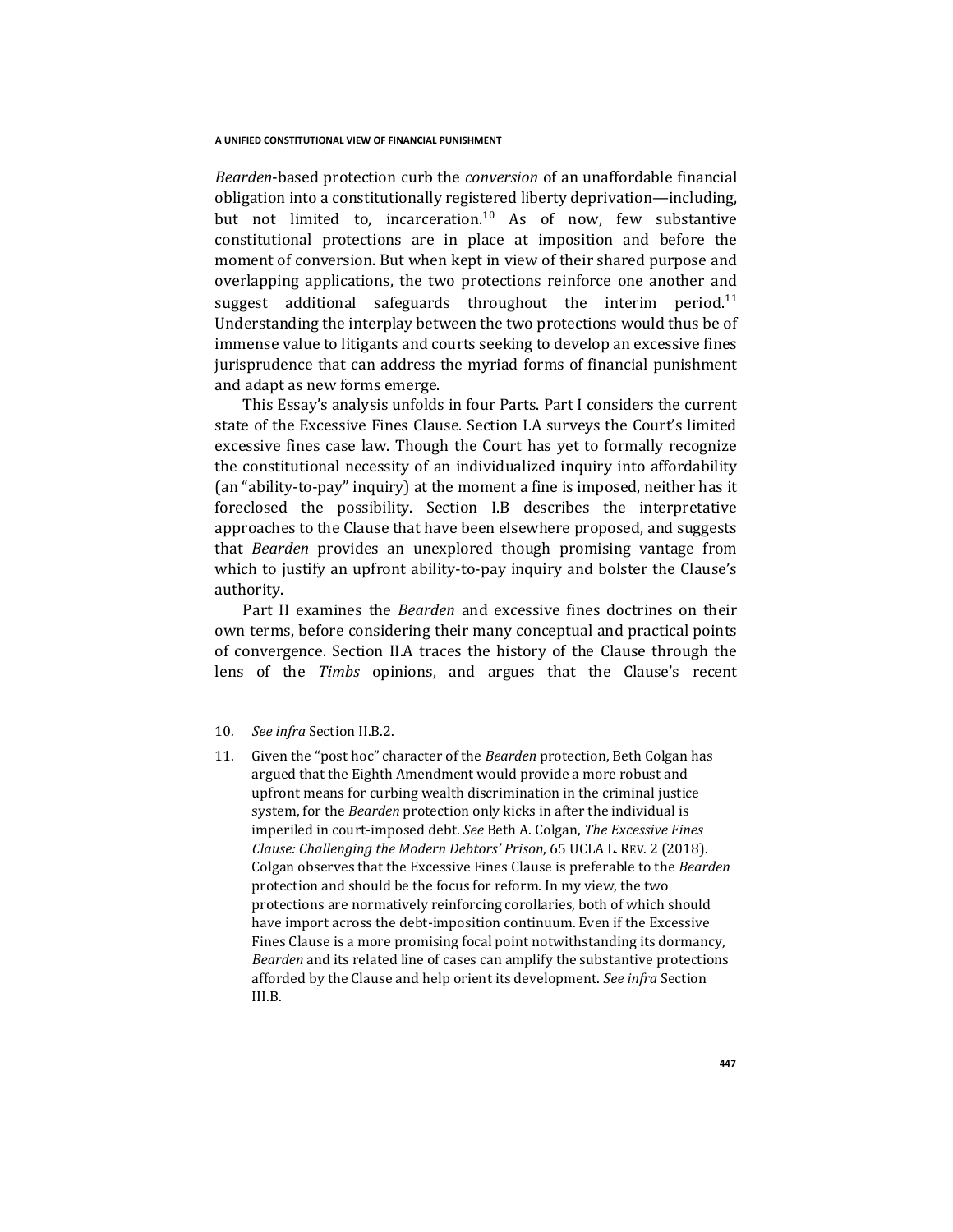*Bearden*-based protection curb the *conversion* of an unaffordable financial obligation into a constitutionally registered liberty deprivation—including, but not limited to, incarceration.<sup>10</sup> As of now, few substantive constitutional protections are in place at imposition and before the moment of conversion. But when kept in view of their shared purpose and overlapping applications, the two protections reinforce one another and suggest additional safeguards throughout the interim period.<sup>11</sup> Understanding the interplay between the two protections would thus be of immense value to litigants and courts seeking to develop an excessive fines jurisprudence that can address the myriad forms of financial punishment and adapt as new forms emerge.

This Essay's analysis unfolds in four Parts. Part I considers the current state of the Excessive Fines Clause. Section I.A surveys the Court's limited excessive fines case law. Though the Court has yet to formally recognize the constitutional necessity of an individualized inquiry into affordability (an "ability-to-pay" inquiry) at the moment a fine is imposed, neither has it foreclosed the possibility. Section I.B describes the interpretative approaches to the Clause that have been elsewhere proposed, and suggests that *Bearden* provides an unexplored though promising vantage from which to justify an upfront ability-to-pay inquiry and bolster the Clause's authority.

Part II examines the *Bearden* and excessive fines doctrines on their own terms, before considering their many conceptual and practical points of convergence. Section II.A traces the history of the Clause through the lens of the *Timbs* opinions, and argues that the Clause's recent

<sup>10</sup>*. See infra* Section II.B.2.

<sup>11.</sup> Given the "post hoc" character of the *Bearden* protection, Beth Colgan has argued that the Eighth Amendment would provide a more robust and upfront means for curbing wealth discrimination in the criminal justice system, for the *Bearden* protection only kicks in after the individual is imperiled in court-imposed debt. *See* Beth A. Colgan, *The Excessive Fines Clause: Challenging the Modern Debtors' Prison*, 65 UCLA L. REV. 2 (2018). Colgan observes that the Excessive Fines Clause is preferable to the *Bearden*  protection and should be the focus for reform. In my view, the two protections are normatively reinforcing corollaries, both of which should have import across the debt-imposition continuum. Even if the Excessive Fines Clause is a more promising focal point notwithstanding its dormancy, *Bearden* and its related line of cases can amplify the substantive protections afforded by the Clause and help orient its development. *See infra* Section III.B.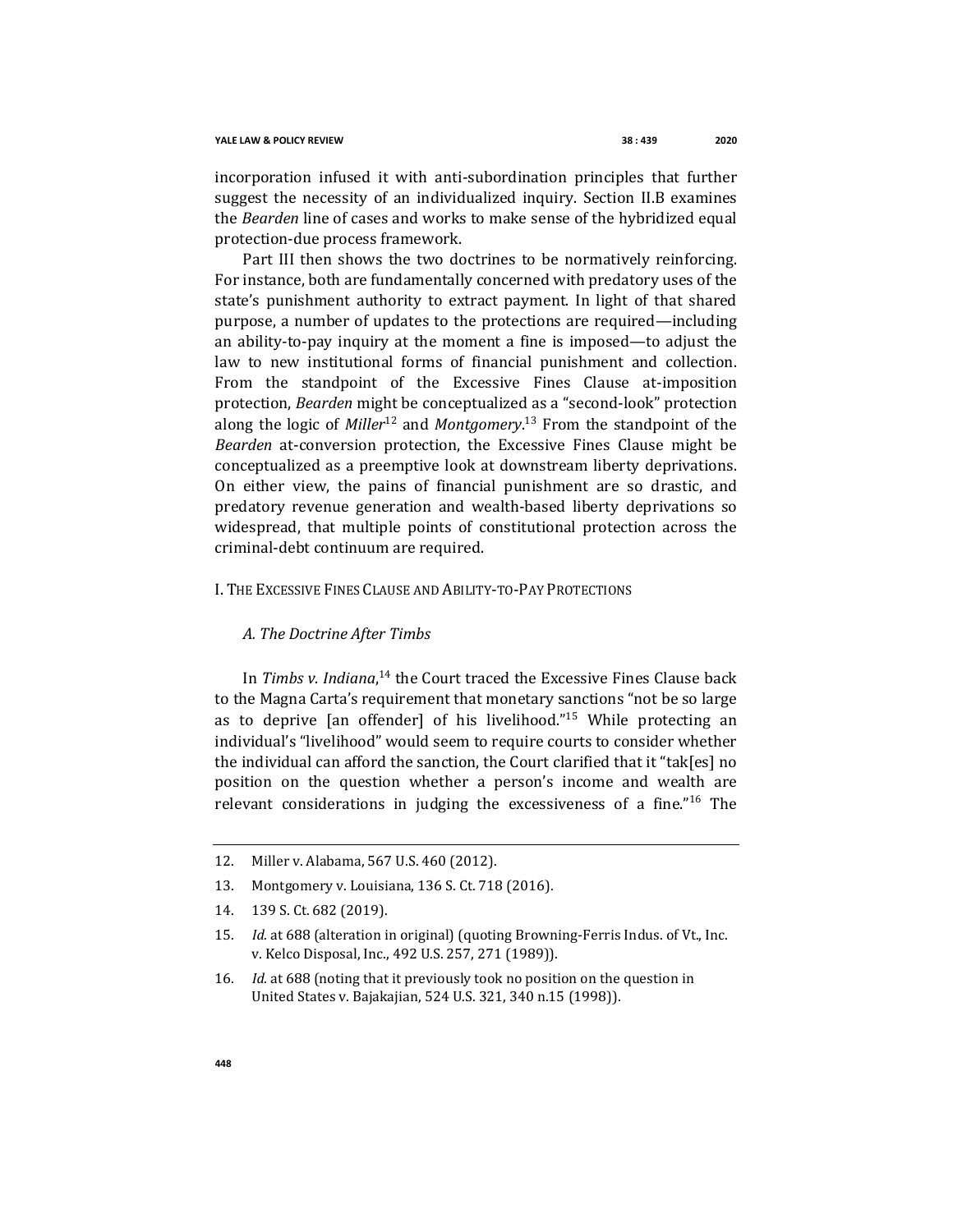incorporation infused it with anti-subordination principles that further suggest the necessity of an individualized inquiry. Section II.B examines the *Bearden* line of cases and works to make sense of the hybridized equal protection-due process framework.

Part III then shows the two doctrines to be normatively reinforcing. For instance, both are fundamentally concerned with predatory uses of the state's punishment authority to extract payment. In light of that shared purpose, a number of updates to the protections are required—including an ability-to-pay inquiry at the moment a fine is imposed—to adjust the law to new institutional forms of financial punishment and collection. From the standpoint of the Excessive Fines Clause at-imposition protection, *Bearden* might be conceptualized as a "second-look" protection along the logic of *Miller*<sup>12</sup> and *Montgomery*. <sup>13</sup> From the standpoint of the *Bearden* at-conversion protection, the Excessive Fines Clause might be conceptualized as a preemptive look at downstream liberty deprivations. On either view, the pains of financial punishment are so drastic, and predatory revenue generation and wealth-based liberty deprivations so widespread, that multiple points of constitutional protection across the criminal-debt continuum are required.

## I. THE EXCESSIVE FINES CLAUSE AND ABILITY-TO-PAY PROTECTIONS

## *A. The Doctrine After Timbs*

In *Timbs v. Indiana*, <sup>14</sup> the Court traced the Excessive Fines Clause back to the Magna Carta's requirement that monetary sanctions "not be so large as to deprive [an offender] of his livelihood."<sup>15</sup> While protecting an individual's "livelihood" would seem to require courts to consider whether the individual can afford the sanction, the Court clarified that it "tak[es] no position on the question whether a person's income and wealth are relevant considerations in judging the excessiveness of a fine."<sup>16</sup> The

14. 139 S. Ct. 682 (2019).

<sup>12.</sup> Miller v. Alabama, 567 U.S. 460 (2012).

<sup>13.</sup> Montgomery v. Louisiana, 136 S. Ct. 718 (2016).

<sup>15</sup>*. Id.* at 688 (alteration in original) (quoting Browning-Ferris Indus. of Vt., Inc. v. Kelco Disposal, Inc., 492 U.S. 257, 271 (1989)).

<sup>16</sup>*. Id.* at 688 (noting that it previously took no position on the question in United States v. Bajakajian, 524 U.S. 321, 340 n.15 (1998)).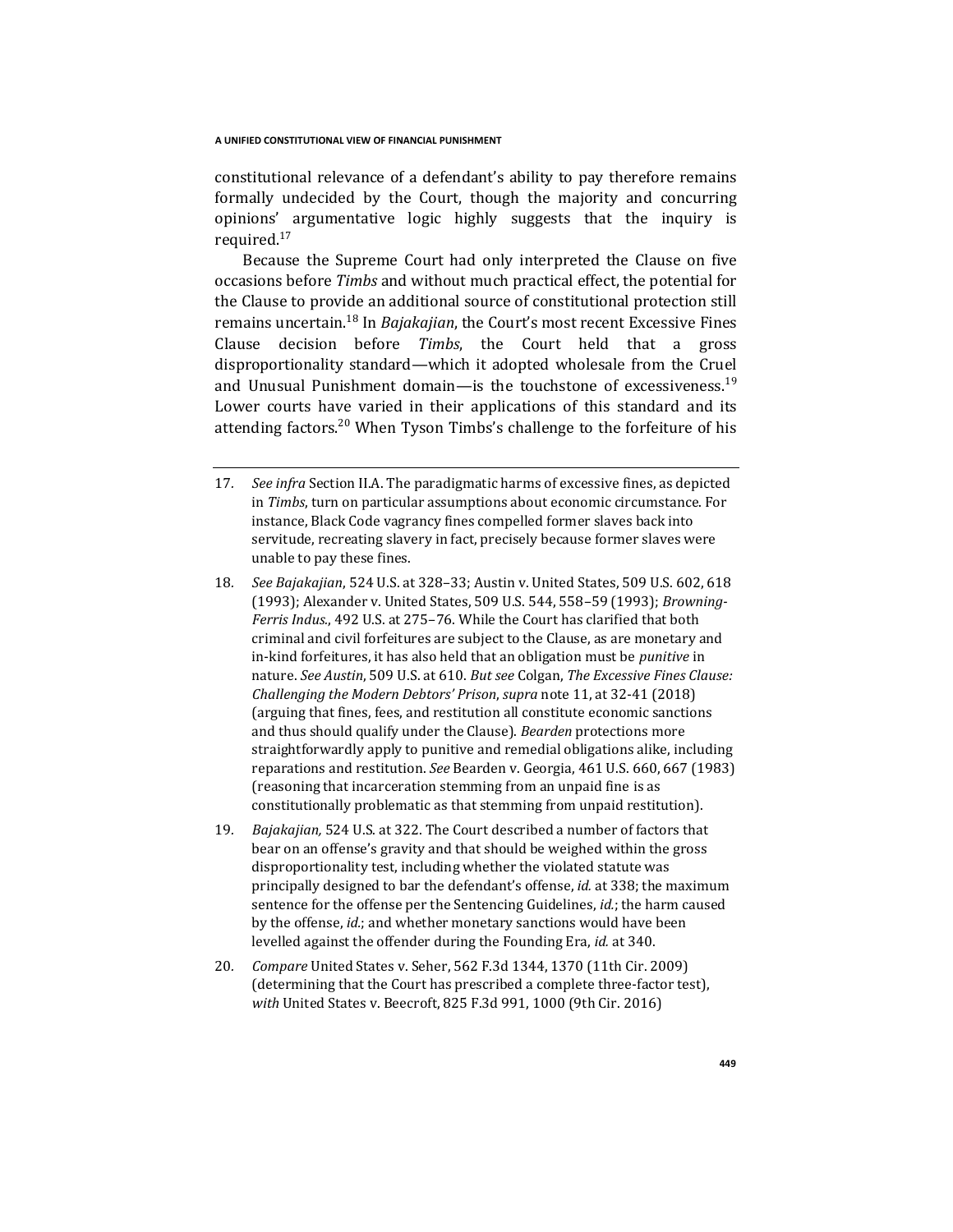constitutional relevance of a defendant's ability to pay therefore remains formally undecided by the Court, though the majority and concurring opinions' argumentative logic highly suggests that the inquiry is required.<sup>17</sup>

Because the Supreme Court had only interpreted the Clause on five occasions before *Timbs* and without much practical effect, the potential for the Clause to provide an additional source of constitutional protection still remains uncertain.<sup>18</sup> In *Bajakajian*, the Court's most recent Excessive Fines Clause decision before *Timbs*, the Court held that a gross disproportionality standard—which it adopted wholesale from the Cruel and Unusual Punishment domain—is the touchstone of excessiveness.<sup>19</sup> Lower courts have varied in their applications of this standard and its attending factors.<sup>20</sup> When Tyson Timbs's challenge to the forfeiture of his

- 18*. See Bajakajian*, 524 U.S. at 328–33; Austin v. United States, 509 U.S. 602, 618 (1993); Alexander v. United States, 509 U.S. 544, 558–59 (1993); *Browning-Ferris Indus.*, 492 U.S. at 275–76. While the Court has clarified that both criminal and civil forfeitures are subject to the Clause, as are monetary and in-kind forfeitures, it has also held that an obligation must be *punitive* in nature. *See Austin*, 509 U.S. at 610. *But see* Colgan, *The Excessive Fines Clause: Challenging the Modern Debtors' Prison*, *supra* note 11, at 32-41 (2018) (arguing that fines, fees, and restitution all constitute economic sanctions and thus should qualify under the Clause). *Bearden* protections more straightforwardly apply to punitive and remedial obligations alike, including reparations and restitution. *See* Bearden v. Georgia, 461 U.S. 660, 667 (1983) (reasoning that incarceration stemming from an unpaid fine is as constitutionally problematic as that stemming from unpaid restitution).
- 19*. Bajakajian,* 524 U.S. at 322. The Court described a number of factors that bear on an offense's gravity and that should be weighed within the gross disproportionality test, including whether the violated statute was principally designed to bar the defendant's offense, *id.* at 338; the maximum sentence for the offense per the Sentencing Guidelines, *id.*; the harm caused by the offense, *id.*; and whether monetary sanctions would have been levelled against the offender during the Founding Era, *id.* at 340.
- 20*. Compare* United States v. Seher, 562 F.3d 1344, 1370 (11th Cir. 2009) (determining that the Court has prescribed a complete three-factor test), *with* United States v. Beecroft, 825 F.3d 991, 1000 (9th Cir. 2016)

<sup>17</sup>*. See infra* Section II.A. The paradigmatic harms of excessive fines, as depicted in *Timbs*, turn on particular assumptions about economic circumstance. For instance, Black Code vagrancy fines compelled former slaves back into servitude, recreating slavery in fact, precisely because former slaves were unable to pay these fines.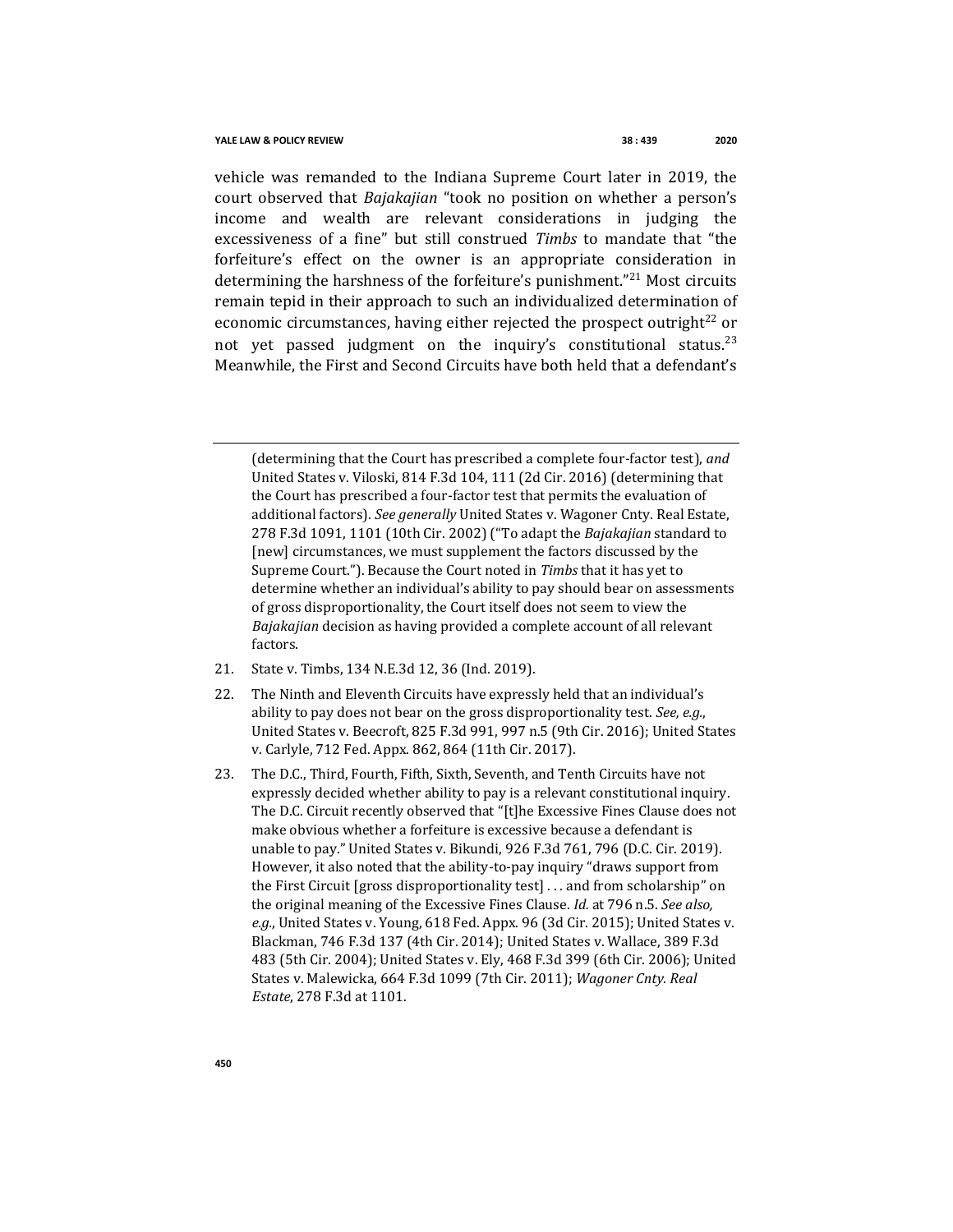vehicle was remanded to the Indiana Supreme Court later in 2019, the court observed that *Bajakajian* "took no position on whether a person's income and wealth are relevant considerations in judging the excessiveness of a fine" but still construed *Timbs* to mandate that "the forfeiture's effect on the owner is an appropriate consideration in determining the harshness of the forfeiture's punishment.<sup>"21</sup> Most circuits remain tepid in their approach to such an individualized determination of economic circumstances, having either rejected the prospect outright<sup>22</sup> or not vet passed judgment on the inquiry's constitutional status.<sup>23</sup> Meanwhile, the First and Second Circuits have both held that a defendant's

(determining that the Court has prescribed a complete four-factor test), *and*  United States v. Viloski, 814 F.3d 104, 111 (2d Cir. 2016) (determining that the Court has prescribed a four-factor test that permits the evaluation of additional factors). *See generally* United States v. Wagoner Cnty. Real Estate, 278 F.3d 1091, 1101 (10th Cir. 2002) ("To adapt the *Bajakajian* standard to [new] circumstances, we must supplement the factors discussed by the Supreme Court."). Because the Court noted in *Timbs* that it has yet to determine whether an individual's ability to pay should bear on assessments of gross disproportionality, the Court itself does not seem to view the *Bajakajian* decision as having provided a complete account of all relevant factors.

- 21. State v. Timbs, 134 N.E.3d 12, 36 (Ind. 2019).
- 22. The Ninth and Eleventh Circuits have expressly held that an individual's ability to pay does not bear on the gross disproportionality test. *See, e.g.*, United States v. Beecroft, 825 F.3d 991, 997 n.5 (9th Cir. 2016); United States v. Carlyle, 712 Fed. Appx. 862, 864 (11th Cir. 2017).
- 23. The D.C., Third, Fourth, Fifth, Sixth, Seventh, and Tenth Circuits have not expressly decided whether ability to pay is a relevant constitutional inquiry. The D.C. Circuit recently observed that "[t]he Excessive Fines Clause does not make obvious whether a forfeiture is excessive because a defendant is unable to pay." United States v. Bikundi, 926 F.3d 761, 796 (D.C. Cir. 2019). However, it also noted that the ability-to-pay inquiry "draws support from the First Circuit [gross disproportionality test] . . . and from scholarship" on the original meaning of the Excessive Fines Clause. *Id.* at 796 n.5. *See also, e.g.*, United States v. Young, 618 Fed. Appx. 96 (3d Cir. 2015); United States v. Blackman, 746 F.3d 137 (4th Cir. 2014); United States v. Wallace, 389 F.3d 483 (5th Cir. 2004); United States v. Ely, 468 F.3d 399 (6th Cir. 2006); United States v. Malewicka, 664 F.3d 1099 (7th Cir. 2011); *Wagoner Cnty. Real Estate*, 278 F.3d at 1101.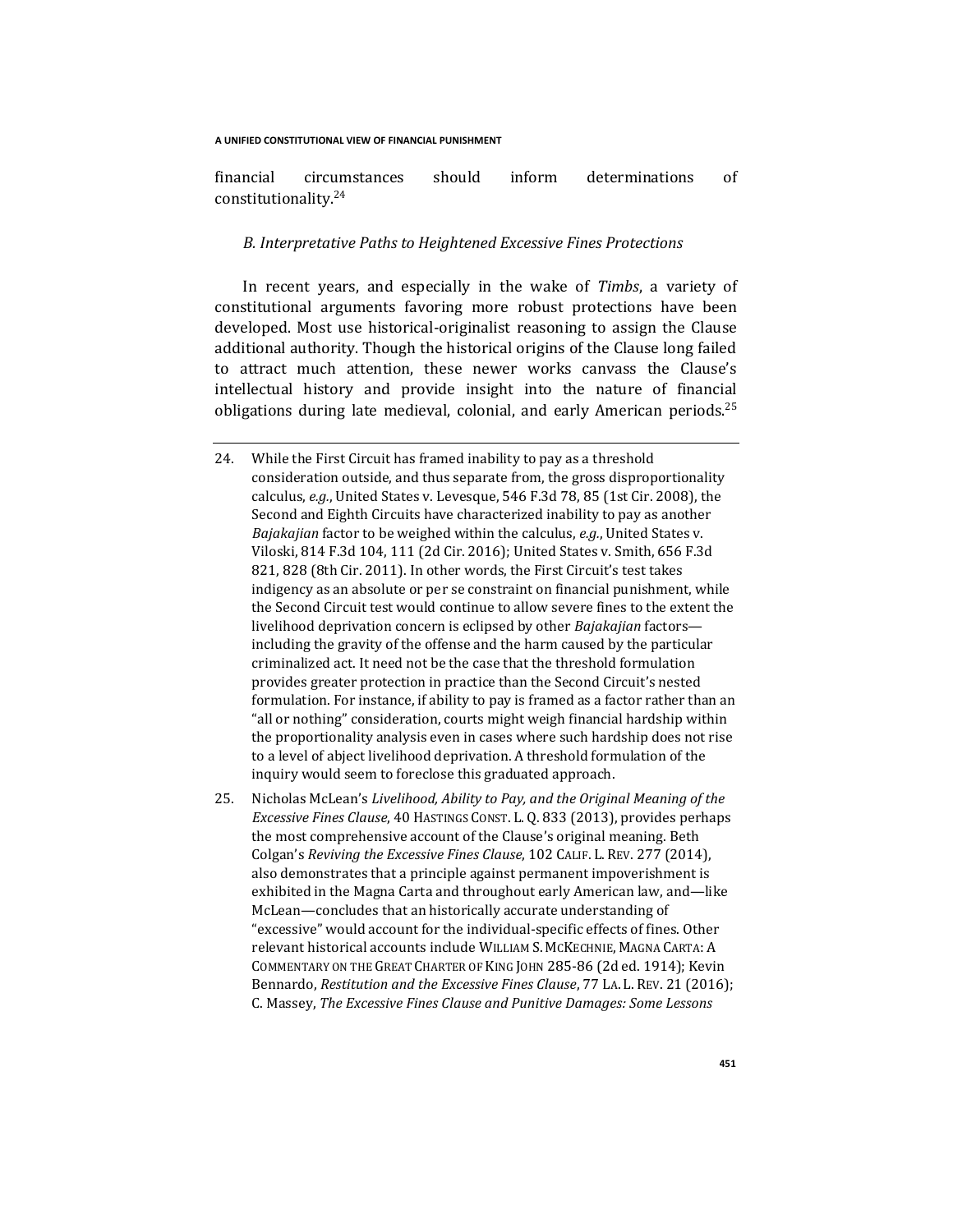financial circumstances should inform determinations of constitutionality.<sup>24</sup>

## *B. Interpretative Paths to Heightened Excessive Fines Protections*

In recent years, and especially in the wake of *Timbs*, a variety of constitutional arguments favoring more robust protections have been developed. Most use historical-originalist reasoning to assign the Clause additional authority. Though the historical origins of the Clause long failed to attract much attention, these newer works canvass the Clause's intellectual history and provide insight into the nature of financial obligations during late medieval, colonial, and early American periods.<sup>25</sup>

- 24. While the First Circuit has framed inability to pay as a threshold consideration outside, and thus separate from, the gross disproportionality calculus, *e.g.*, United States v. Levesque, 546 F.3d 78, 85 (1st Cir. 2008), the Second and Eighth Circuits have characterized inability to pay as another *Bajakajian* factor to be weighed within the calculus, *e.g.*, United States v. Viloski, 814 F.3d 104, 111 (2d Cir. 2016); United States v. Smith, 656 F.3d 821, 828 (8th Cir. 2011). In other words, the First Circuit's test takes indigency as an absolute or per se constraint on financial punishment, while the Second Circuit test would continue to allow severe fines to the extent the livelihood deprivation concern is eclipsed by other *Bajakajian* factors including the gravity of the offense and the harm caused by the particular criminalized act. It need not be the case that the threshold formulation provides greater protection in practice than the Second Circuit's nested formulation. For instance, if ability to pay is framed as a factor rather than an "all or nothing" consideration, courts might weigh financial hardship within the proportionality analysis even in cases where such hardship does not rise to a level of abject livelihood deprivation. A threshold formulation of the inquiry would seem to foreclose this graduated approach.
- 25. Nicholas McLean's *Livelihood, Ability to Pay, and the Original Meaning of the Excessive Fines Clause*, 40 HASTINGS CONST. L. Q. 833 (2013), provides perhaps the most comprehensive account of the Clause's original meaning. Beth Colgan's *Reviving the Excessive Fines Clause*, 102 CALIF. L. REV. 277 (2014), also demonstrates that a principle against permanent impoverishment is exhibited in the Magna Carta and throughout early American law, and—like McLean—concludes that an historically accurate understanding of "excessive" would account for the individual-specific effects of fines. Other relevant historical accounts include WILLIAM S. MCKECHNIE, MAGNA CARTA: A COMMENTARY ON THE GREAT CHARTER OF KING JOHN 285-86 (2d ed. 1914); Kevin Bennardo, *Restitution and the Excessive Fines Clause*, 77 LA. L. REV. 21 (2016); C. Massey, *The Excessive Fines Clause and Punitive Damages: Some Lessons*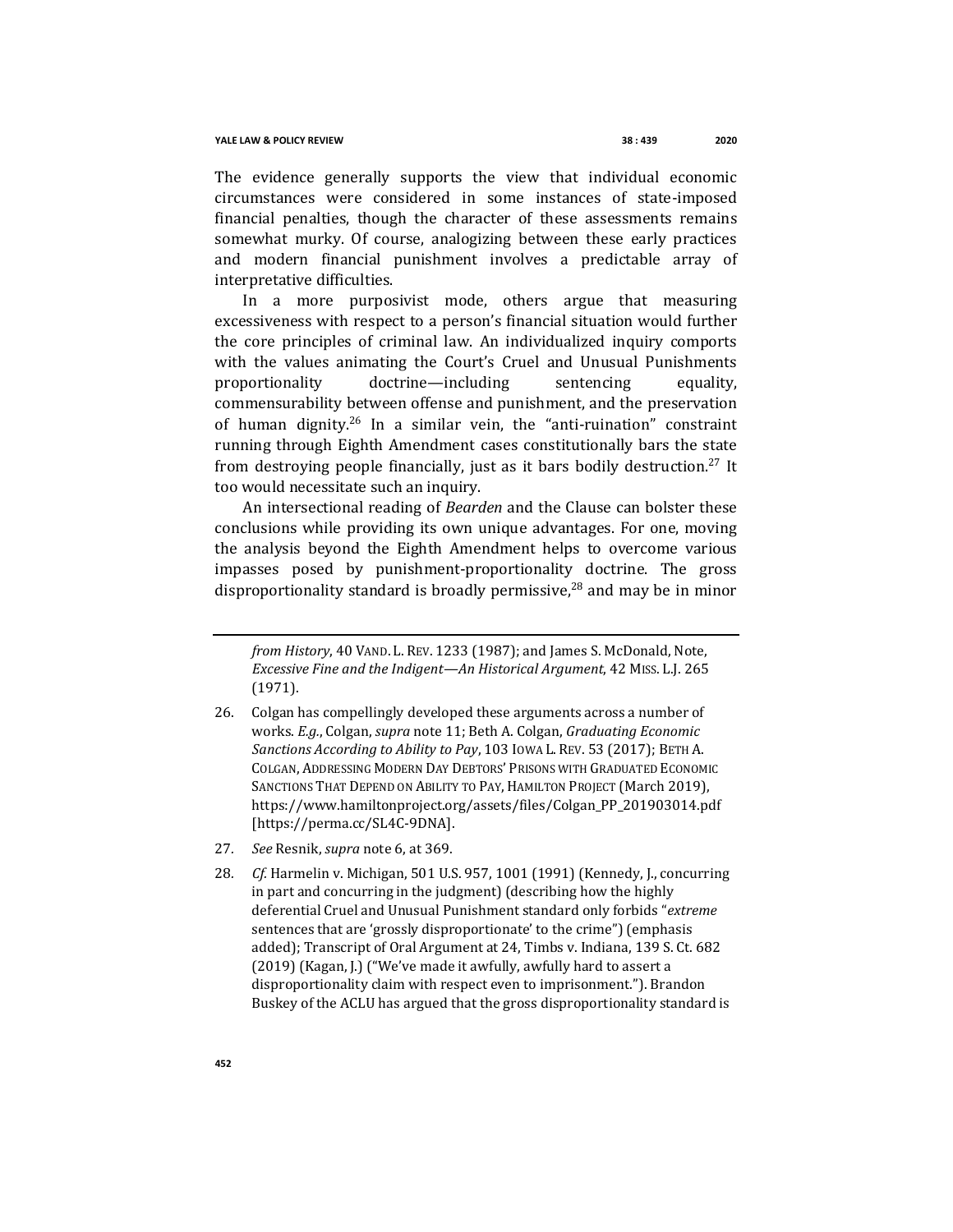The evidence generally supports the view that individual economic circumstances were considered in some instances of state-imposed financial penalties, though the character of these assessments remains somewhat murky. Of course, analogizing between these early practices and modern financial punishment involves a predictable array of interpretative difficulties.

In a more purposivist mode, others argue that measuring excessiveness with respect to a person's financial situation would further the core principles of criminal law. An individualized inquiry comports with the values animating the Court's Cruel and Unusual Punishments proportionality doctrine—including sentencing equality, commensurability between offense and punishment, and the preservation of human dignity.<sup>26</sup> In a similar vein, the "anti-ruination" constraint running through Eighth Amendment cases constitutionally bars the state from destroying people financially, just as it bars bodily destruction.<sup>27</sup> It too would necessitate such an inquiry.

An intersectional reading of *Bearden* and the Clause can bolster these conclusions while providing its own unique advantages. For one, moving the analysis beyond the Eighth Amendment helps to overcome various impasses posed by punishment-proportionality doctrine. The gross disproportionality standard is broadly permissive, $^{28}$  and may be in minor

- 27*. See* Resnik, *supra* note 6, at 369.
- 28*. Cf.* Harmelin v. Michigan, 501 U.S. 957, 1001 (1991) (Kennedy, J., concurring in part and concurring in the judgment) (describing how the highly deferential Cruel and Unusual Punishment standard only forbids "*extreme* sentences that are 'grossly disproportionate' to the crime") (emphasis added); Transcript of Oral Argument at 24, Timbs v. Indiana, 139 S. Ct. 682 (2019) (Kagan, J.) ("We've made it awfully, awfully hard to assert a disproportionality claim with respect even to imprisonment."). Brandon Buskey of the ACLU has argued that the gross disproportionality standard is

*from History*, 40 VAND. L. REV. 1233 (1987); and James S. McDonald, Note, *Excessive Fine and the Indigent—An Historical Argument*, 42 MISS. L.J. 265 (1971).

<sup>26.</sup> Colgan has compellingly developed these arguments across a number of works. *E.g.*, Colgan, *supra* note 11; Beth A. Colgan, *Graduating Economic Sanctions According to Ability to Pay*, 103 IOWA L. REV. 53 (2017); BETH A. COLGAN, ADDRESSING MODERN DAY DEBTORS' PRISONS WITH GRADUATED ECONOMIC SANCTIONS THAT DEPEND ON ABILITY TO PAY, HAMILTON PROJECT (March 2019), https://www.hamiltonproject.org/assets/files/Colgan\_PP\_201903014.pdf [https://perma.cc/SL4C-9DNA].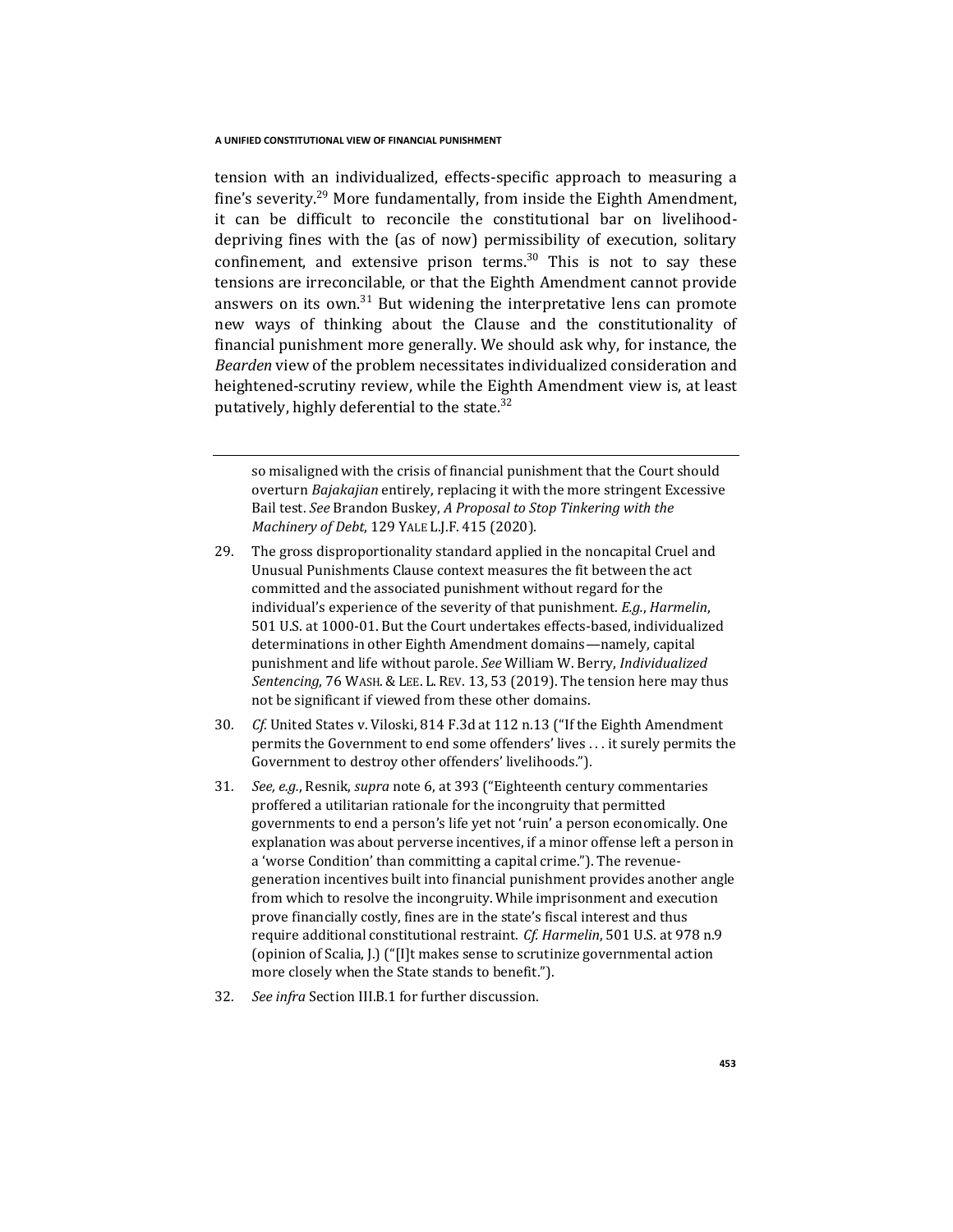tension with an individualized, effects-specific approach to measuring a fine's severity.<sup>29</sup> More fundamentally, from inside the Eighth Amendment, it can be difficult to reconcile the constitutional bar on livelihooddepriving fines with the (as of now) permissibility of execution, solitary confinement, and extensive prison terms.<sup>30</sup> This is not to say these tensions are irreconcilable, or that the Eighth Amendment cannot provide answers on its own.<sup>31</sup> But widening the interpretative lens can promote new ways of thinking about the Clause and the constitutionality of financial punishment more generally. We should ask why, for instance, the *Bearden* view of the problem necessitates individualized consideration and heightened-scrutiny review, while the Eighth Amendment view is, at least putatively, highly deferential to the state. $32$ 

so misaligned with the crisis of financial punishment that the Court should overturn *Bajakajian* entirely, replacing it with the more stringent Excessive Bail test. *See* Brandon Buskey, *A Proposal to Stop Tinkering with the Machinery of Debt*, 129 YALE L.J.F. 415 (2020).

- 29. The gross disproportionality standard applied in the noncapital Cruel and Unusual Punishments Clause context measures the fit between the act committed and the associated punishment without regard for the individual's experience of the severity of that punishment. *E.g.*, *Harmelin*, 501 U.S. at 1000-01. But the Court undertakes effects-based, individualized determinations in other Eighth Amendment domains—namely, capital punishment and life without parole. *See* William W. Berry, *Individualized Sentencing*, 76 WASH. & LEE. L. REV. 13, 53 (2019). The tension here may thus not be significant if viewed from these other domains.
- 30*. Cf.* United States v. Viloski, 814 F.3d at 112 n.13 ("If the Eighth Amendment permits the Government to end some offenders' lives . . . it surely permits the Government to destroy other offenders' livelihoods.").
- 31*. See, e.g.*, Resnik, *supra* note 6, at 393 ("Eighteenth century commentaries proffered a utilitarian rationale for the incongruity that permitted governments to end a person's life yet not 'ruin' a person economically. One explanation was about perverse incentives, if a minor offense left a person in a 'worse Condition' than committing a capital crime."). The revenuegeneration incentives built into financial punishment provides another angle from which to resolve the incongruity. While imprisonment and execution prove financially costly, fines are in the state's fiscal interest and thus require additional constitutional restraint. *Cf. Harmelin*, 501 U.S. at 978 n.9 (opinion of Scalia, J.) ("[I]t makes sense to scrutinize governmental action more closely when the State stands to benefit.").
- 32*. See infra* Section III.B.1 for further discussion.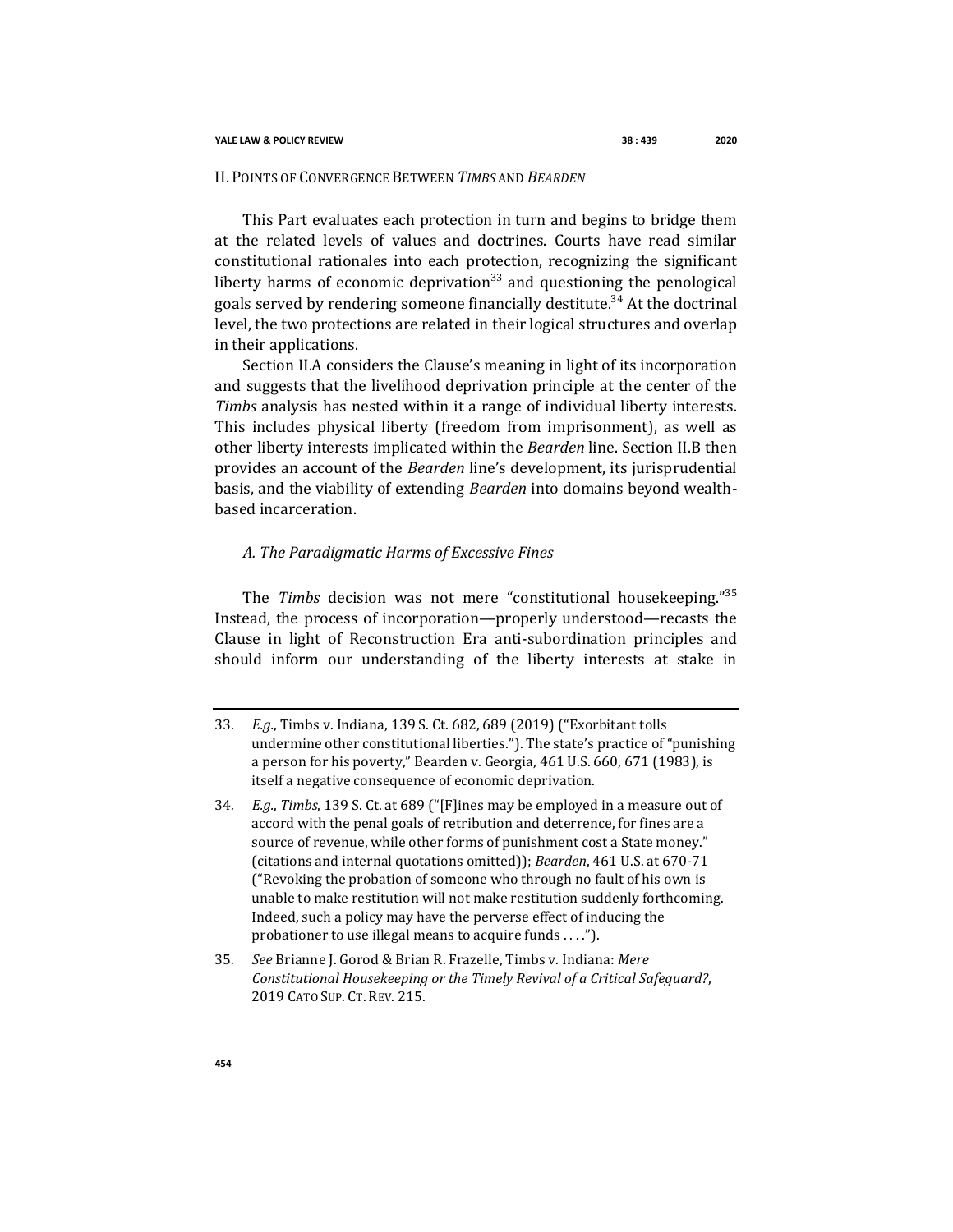## II. POINTS OF CONVERGENCE BETWEEN *TIMBS* AND *BEARDEN*

This Part evaluates each protection in turn and begins to bridge them at the related levels of values and doctrines. Courts have read similar constitutional rationales into each protection, recognizing the significant liberty harms of economic deprivation<sup>33</sup> and questioning the penological goals served by rendering someone financially destitute.<sup>34</sup> At the doctrinal level, the two protections are related in their logical structures and overlap in their applications.

Section II.A considers the Clause's meaning in light of its incorporation and suggests that the livelihood deprivation principle at the center of the *Timbs* analysis has nested within it a range of individual liberty interests. This includes physical liberty (freedom from imprisonment), as well as other liberty interests implicated within the *Bearden* line. Section II.B then provides an account of the *Bearden* line's development, its jurisprudential basis, and the viability of extending *Bearden* into domains beyond wealthbased incarceration.

## *A. The Paradigmatic Harms of Excessive Fines*

The *Timbs* decision was not mere "constitutional housekeeping."<sup>35</sup> Instead, the process of incorporation—properly understood—recasts the Clause in light of Reconstruction Era anti-subordination principles and should inform our understanding of the liberty interests at stake in

<sup>33</sup>*. E.g.*, Timbs v. Indiana, 139 S. Ct. 682, 689 (2019) ("Exorbitant tolls undermine other constitutional liberties."). The state's practice of "punishing a person for his poverty," Bearden v. Georgia, 461 U.S. 660, 671 (1983), is itself a negative consequence of economic deprivation.

<sup>34</sup>*. E.g.*, *Timbs*, 139 S. Ct. at 689 ("[F]ines may be employed in a measure out of accord with the penal goals of retribution and deterrence, for fines are a source of revenue, while other forms of punishment cost a State money." (citations and internal quotations omitted)); *Bearden*, 461 U.S. at 670-71 ("Revoking the probation of someone who through no fault of his own is unable to make restitution will not make restitution suddenly forthcoming. Indeed, such a policy may have the perverse effect of inducing the probationer to use illegal means to acquire funds . . . .").

<sup>35</sup>*. See* Brianne J. Gorod & Brian R. Frazelle, Timbs v. Indiana: *Mere Constitutional Housekeeping or the Timely Revival of a Critical Safeguard?*, 2019 CATO SUP. CT. REV. 215.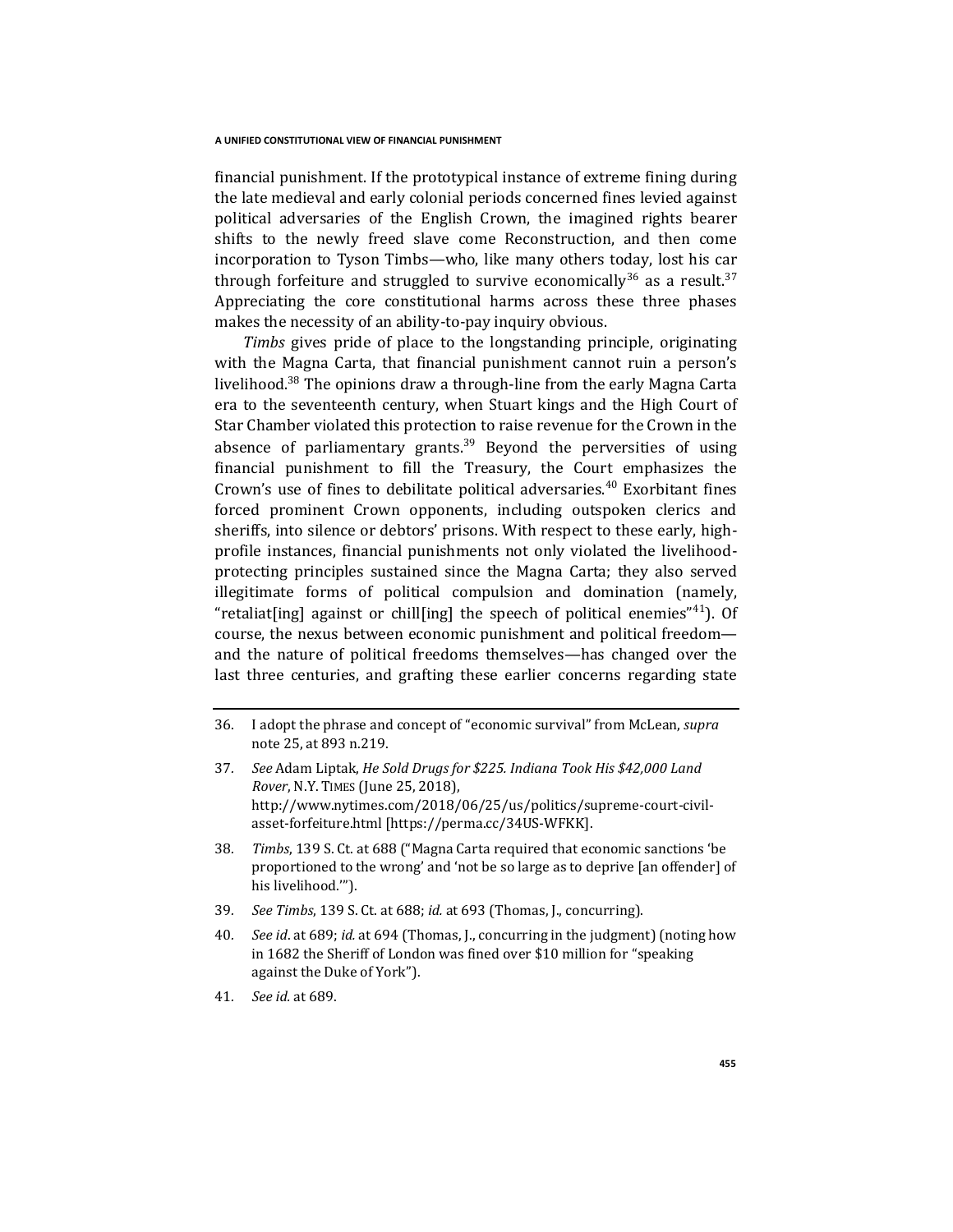financial punishment. If the prototypical instance of extreme fining during the late medieval and early colonial periods concerned fines levied against political adversaries of the English Crown, the imagined rights bearer shifts to the newly freed slave come Reconstruction, and then come incorporation to Tyson Timbs—who, like many others today, lost his car through forfeiture and struggled to survive economically<sup>36</sup> as a result.<sup>37</sup> Appreciating the core constitutional harms across these three phases makes the necessity of an ability-to-pay inquiry obvious.

*Timbs* gives pride of place to the longstanding principle, originating with the Magna Carta, that financial punishment cannot ruin a person's livelihood.<sup>38</sup> The opinions draw a through-line from the early Magna Carta era to the seventeenth century, when Stuart kings and the High Court of Star Chamber violated this protection to raise revenue for the Crown in the absence of parliamentary grants.<sup>39</sup> Beyond the perversities of using financial punishment to fill the Treasury, the Court emphasizes the Crown's use of fines to debilitate political adversaries.<sup>40</sup> Exorbitant fines forced prominent Crown opponents, including outspoken clerics and sheriffs, into silence or debtors' prisons. With respect to these early, highprofile instances, financial punishments not only violated the livelihoodprotecting principles sustained since the Magna Carta; they also served illegitimate forms of political compulsion and domination (namely, "retaliat[ing] against or chill[ing] the speech of political enemies"<sup>41</sup>). Of course, the nexus between economic punishment and political freedom and the nature of political freedoms themselves—has changed over the last three centuries, and grafting these earlier concerns regarding state

- 39*. See Timbs*, 139 S. Ct. at 688; *id.* at 693 (Thomas, J., concurring).
- 40*. See id*. at 689; *id.* at 694 (Thomas, J., concurring in the judgment) (noting how in 1682 the Sheriff of London was fined over \$10 million for "speaking against the Duke of York").
- 41*. See id.* at 689.

<sup>36.</sup> I adopt the phrase and concept of "economic survival" from McLean, *supra*  note 25, at 893 n.219.

<sup>37</sup>*. See* Adam Liptak, *He Sold Drugs for \$225. Indiana Took His \$42,000 Land Rover*, N.Y. TIMES (June 25, 2018), http://www.nytimes.com/2018/06/25/us/politics/supreme-court-civilasset-forfeiture.html [https://perma.cc/34US-WFKK].

<sup>38</sup>*. Timbs*, 139 S. Ct. at 688 ("Magna Carta required that economic sanctions 'be proportioned to the wrong' and 'not be so large as to deprive [an offender] of his livelihood.'").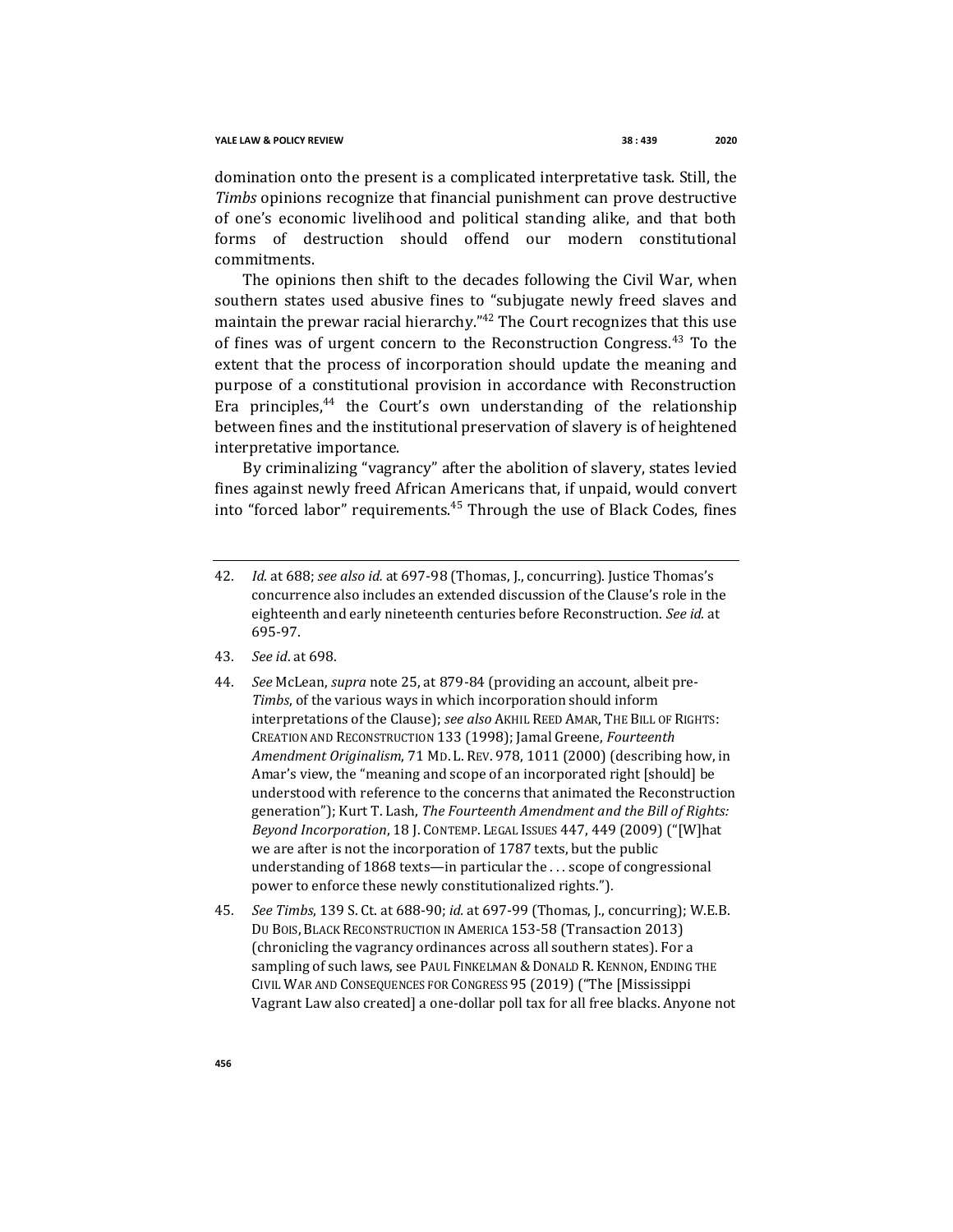domination onto the present is a complicated interpretative task. Still, the *Timbs* opinions recognize that financial punishment can prove destructive of one's economic livelihood and political standing alike, and that both forms of destruction should offend our modern constitutional commitments.

The opinions then shift to the decades following the Civil War, when southern states used abusive fines to "subjugate newly freed slaves and maintain the prewar racial hierarchy.<sup>"42</sup> The Court recognizes that this use of fines was of urgent concern to the Reconstruction Congress.<sup>43</sup> To the extent that the process of incorporation should update the meaning and purpose of a constitutional provision in accordance with Reconstruction Era principles,  $44$  the Court's own understanding of the relationship between fines and the institutional preservation of slavery is of heightened interpretative importance.

By criminalizing "vagrancy" after the abolition of slavery, states levied fines against newly freed African Americans that, if unpaid, would convert into "forced labor" requirements.<sup>45</sup> Through the use of Black Codes, fines

- 43*. See id*. at 698.
- 44*. See* McLean, *supra* note 25, at 879-84 (providing an account, albeit pre-*Timbs*, of the various ways in which incorporation should inform interpretations of the Clause); *see also* AKHIL REED AMAR, THE BILL OF RIGHTS: CREATION AND RECONSTRUCTION 133 (1998); Jamal Greene, *Fourteenth Amendment Originalism*, 71 MD. L. REV. 978, 1011 (2000) (describing how, in Amar's view, the "meaning and scope of an incorporated right [should] be understood with reference to the concerns that animated the Reconstruction generation"); Kurt T. Lash, *The Fourteenth Amendment and the Bill of Rights: Beyond Incorporation*, 18 J. CONTEMP. LEGAL ISSUES 447, 449 (2009) ("[W]hat we are after is not the incorporation of 1787 texts, but the public understanding of 1868 texts—in particular the . . . scope of congressional power to enforce these newly constitutionalized rights.").
- 45*. See Timbs*, 139 S. Ct. at 688-90; *id.* at 697-99 (Thomas, J., concurring); W.E.B. DU BOIS, BLACK RECONSTRUCTION IN AMERICA 153-58 (Transaction 2013) (chronicling the vagrancy ordinances across all southern states). For a sampling of such laws, see PAUL FINKELMAN & DONALD R. KENNON, ENDING THE CIVIL WAR AND CONSEQUENCES FOR CONGRESS 95 (2019) ("The [Mississippi Vagrant Law also created] a one-dollar poll tax for all free blacks. Anyone not

<sup>42</sup>*. Id.* at 688; *see also id.* at 697-98 (Thomas, J., concurring). Justice Thomas's concurrence also includes an extended discussion of the Clause's role in the eighteenth and early nineteenth centuries before Reconstruction. *See id.* at 695-97.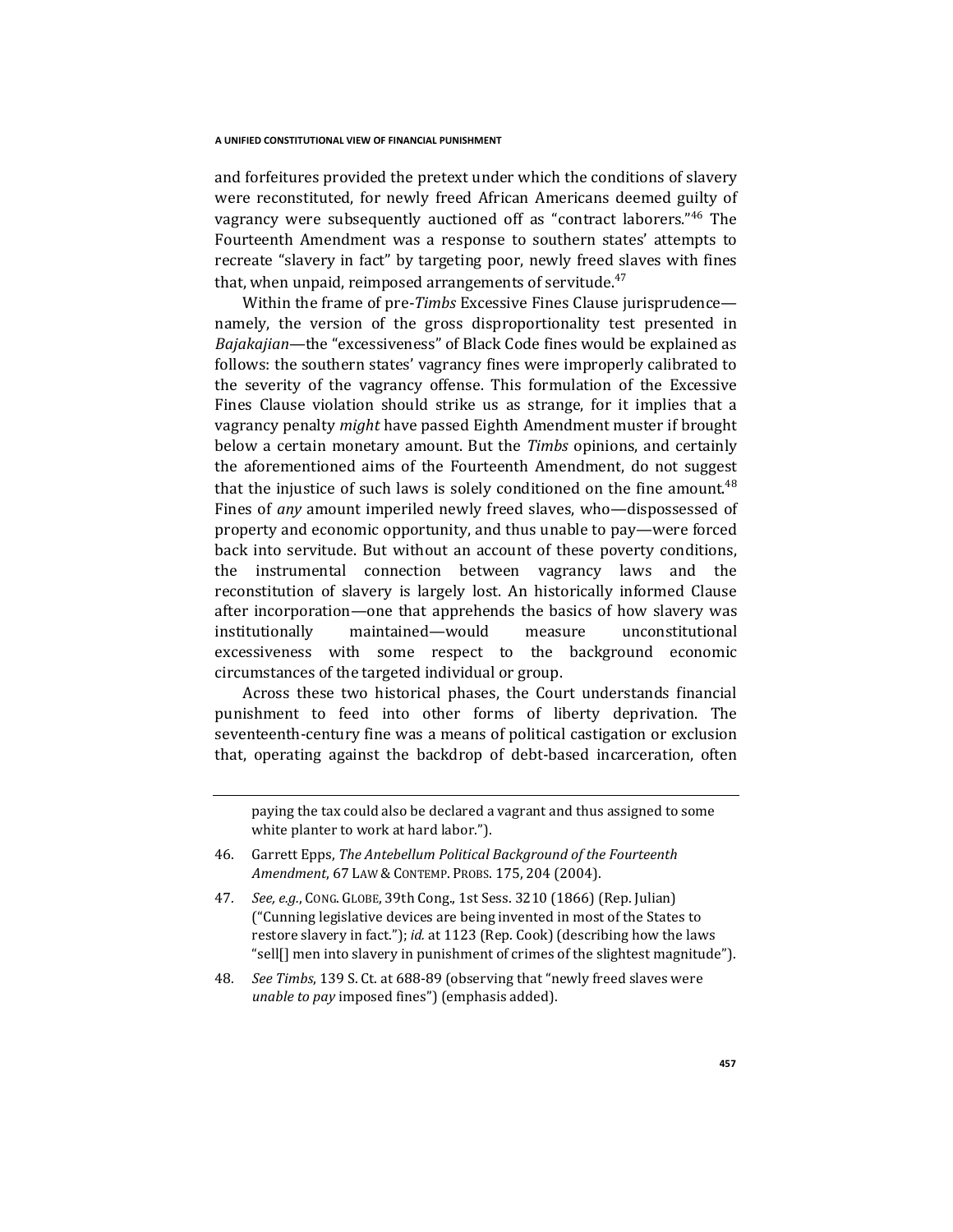and forfeitures provided the pretext under which the conditions of slavery were reconstituted, for newly freed African Americans deemed guilty of vagrancy were subsequently auctioned off as "contract laborers."<sup>46</sup> The Fourteenth Amendment was a response to southern states' attempts to recreate "slavery in fact" by targeting poor, newly freed slaves with fines that, when unpaid, reimposed arrangements of servitude. $47$ 

Within the frame of pre-*Timbs* Excessive Fines Clause jurisprudence namely, the version of the gross disproportionality test presented in *Bajakajian*—the "excessiveness" of Black Code fines would be explained as follows: the southern states' vagrancy fines were improperly calibrated to the severity of the vagrancy offense. This formulation of the Excessive Fines Clause violation should strike us as strange, for it implies that a vagrancy penalty *might* have passed Eighth Amendment muster if brought below a certain monetary amount. But the *Timbs* opinions, and certainly the aforementioned aims of the Fourteenth Amendment, do not suggest that the injustice of such laws is solely conditioned on the fine amount.<sup>48</sup> Fines of *any* amount imperiled newly freed slaves, who—dispossessed of property and economic opportunity, and thus unable to pay—were forced back into servitude. But without an account of these poverty conditions, the instrumental connection between vagrancy laws and the reconstitution of slavery is largely lost. An historically informed Clause after incorporation—one that apprehends the basics of how slavery was institutionally maintained—would measure unconstitutional excessiveness with some respect to the background economic circumstances of the targeted individual or group.

Across these two historical phases, the Court understands financial punishment to feed into other forms of liberty deprivation. The seventeenth-century fine was a means of political castigation or exclusion that, operating against the backdrop of debt-based incarceration, often

paying the tax could also be declared a vagrant and thus assigned to some white planter to work at hard labor.").

- 46. Garrett Epps, *The Antebellum Political Background of the Fourteenth Amendment*, 67 LAW & CONTEMP. PROBS. 175, 204 (2004).
- 47*. See, e.g.*, CONG. GLOBE, 39th Cong., 1st Sess. 3210 (1866) (Rep. Julian) ("Cunning legislative devices are being invented in most of the States to restore slavery in fact."); *id.* at 1123 (Rep. Cook) (describing how the laws "sell[] men into slavery in punishment of crimes of the slightest magnitude").
- 48*. See Timbs*, 139 S. Ct. at 688-89 (observing that "newly freed slaves were *unable to pay* imposed fines") (emphasis added).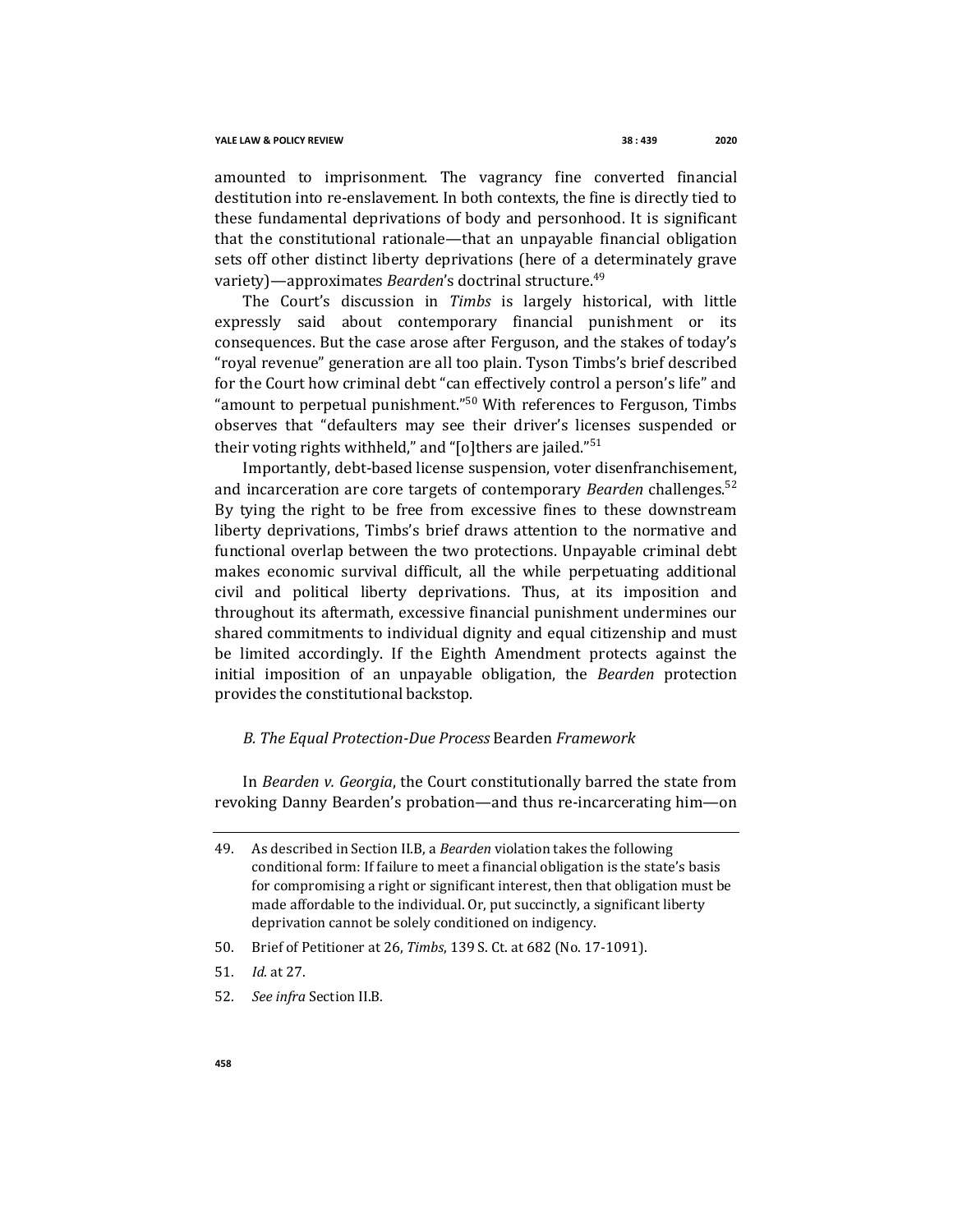amounted to imprisonment. The vagrancy fine converted financial destitution into re-enslavement. In both contexts, the fine is directly tied to these fundamental deprivations of body and personhood. It is significant that the constitutional rationale—that an unpayable financial obligation sets off other distinct liberty deprivations (here of a determinately grave variety)—approximates *Bearden*'s doctrinal structure.<sup>49</sup>

The Court's discussion in *Timbs* is largely historical, with little expressly said about contemporary financial punishment or its consequences. But the case arose after Ferguson, and the stakes of today's "royal revenue" generation are all too plain. Tyson Timbs's brief described for the Court how criminal debt "can effectively control a person's life" and "amount to perpetual punishment."<sup>50</sup> With references to Ferguson, Timbs observes that "defaulters may see their driver's licenses suspended or their voting rights withheld," and "[o]thers are jailed."<sup>51</sup>

Importantly, debt-based license suspension, voter disenfranchisement, and incarceration are core targets of contemporary *Bearden* challenges.<sup>52</sup> By tying the right to be free from excessive fines to these downstream liberty deprivations, Timbs's brief draws attention to the normative and functional overlap between the two protections. Unpayable criminal debt makes economic survival difficult, all the while perpetuating additional civil and political liberty deprivations. Thus, at its imposition and throughout its aftermath, excessive financial punishment undermines our shared commitments to individual dignity and equal citizenship and must be limited accordingly. If the Eighth Amendment protects against the initial imposition of an unpayable obligation, the *Bearden* protection provides the constitutional backstop.

### *B. The Equal Protection-Due Process* Bearden *Framework*

In *Bearden v. Georgia*, the Court constitutionally barred the state from revoking Danny Bearden's probation—and thus re-incarcerating him—on

- 50. Brief of Petitioner at 26, *Timbs*, 139 S. Ct. at 682 (No. 17-1091).
- 51*. Id.* at 27.
- 52*. See infra* Section II.B.

<sup>49.</sup> As described in Section II.B, a *Bearden* violation takes the following conditional form: If failure to meet a financial obligation is the state's basis for compromising a right or significant interest, then that obligation must be made affordable to the individual. Or, put succinctly, a significant liberty deprivation cannot be solely conditioned on indigency.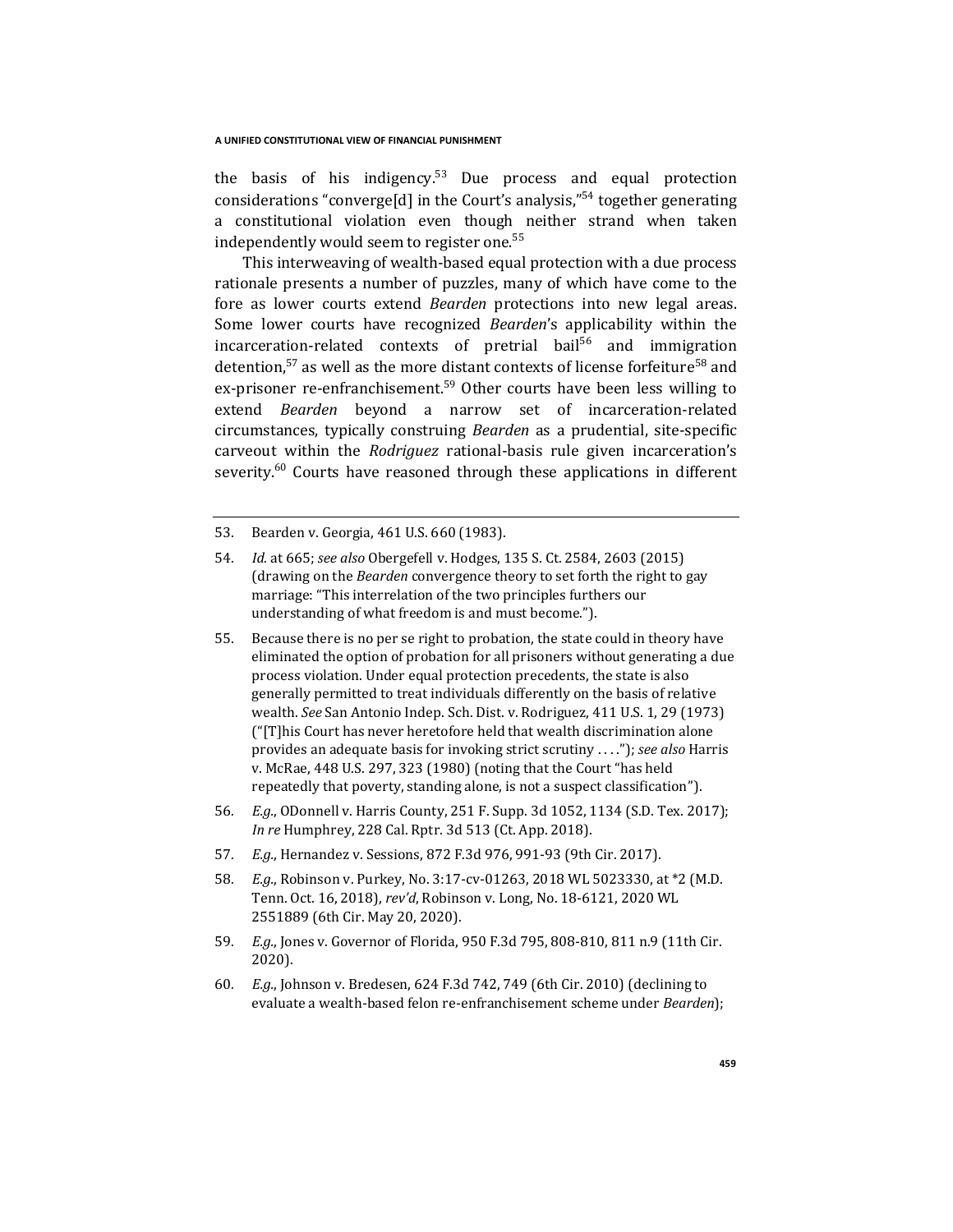the basis of his indigency.<sup>53</sup> Due process and equal protection considerations "converge<sup>[d]</sup> in the Court's analysis,"<sup>54</sup> together generating a constitutional violation even though neither strand when taken independently would seem to register one. $55$ 

This interweaving of wealth-based equal protection with a due process rationale presents a number of puzzles, many of which have come to the fore as lower courts extend *Bearden* protections into new legal areas. Some lower courts have recognized *Bearden*'s applicability within the incarceration-related contexts of pretrial bail<sup>56</sup> and immigration detention,<sup>57</sup> as well as the more distant contexts of license forfeiture<sup>58</sup> and ex-prisoner re-enfranchisement.<sup>59</sup> Other courts have been less willing to extend *Bearden* beyond a narrow set of incarceration-related circumstances, typically construing *Bearden* as a prudential, site-specific carveout within the *Rodriguez* rational-basis rule given incarceration's severity. $60$  Courts have reasoned through these applications in different

- 54*. Id.* at 665; *see also* Obergefell v. Hodges, 135 S. Ct. 2584, 2603 (2015) (drawing on the *Bearden* convergence theory to set forth the right to gay marriage: "This interrelation of the two principles furthers our understanding of what freedom is and must become.").
- 55. Because there is no per se right to probation, the state could in theory have eliminated the option of probation for all prisoners without generating a due process violation. Under equal protection precedents, the state is also generally permitted to treat individuals differently on the basis of relative wealth. *See* San Antonio Indep. Sch. Dist. v. Rodriguez, 411 U.S. 1, 29 (1973) ("[T]his Court has never heretofore held that wealth discrimination alone provides an adequate basis for invoking strict scrutiny . . . ."); *see also* Harris v. McRae, 448 U.S. 297, 323 (1980) (noting that the Court "has held repeatedly that poverty, standing alone, is not a suspect classification").
- 56*. E.g.*, ODonnell v. Harris County, 251 F. Supp. 3d 1052, 1134 (S.D. Tex. 2017); *In re* Humphrey, 228 Cal. Rptr. 3d 513 (Ct. App. 2018).
- 57*. E.g.*, Hernandez v. Sessions, 872 F.3d 976, 991-93 (9th Cir. 2017).
- 58*. E.g.*, Robinson v. Purkey, No. 3:17-cv-01263, 2018 WL 5023330, at \*2 (M.D. Tenn. Oct. 16, 2018), *rev'd*, Robinson v. Long, No. 18-6121, 2020 WL 2551889 (6th Cir. May 20, 2020).
- 59*. E.g.*, Jones v. Governor of Florida, 950 F.3d 795, 808-810, 811 n.9 (11th Cir. 2020).
- 60*. E.g.*, Johnson v. Bredesen, 624 F.3d 742, 749 (6th Cir. 2010) (declining to evaluate a wealth-based felon re-enfranchisement scheme under *Bearden*);

<sup>53.</sup> Bearden v. Georgia, 461 U.S. 660 (1983).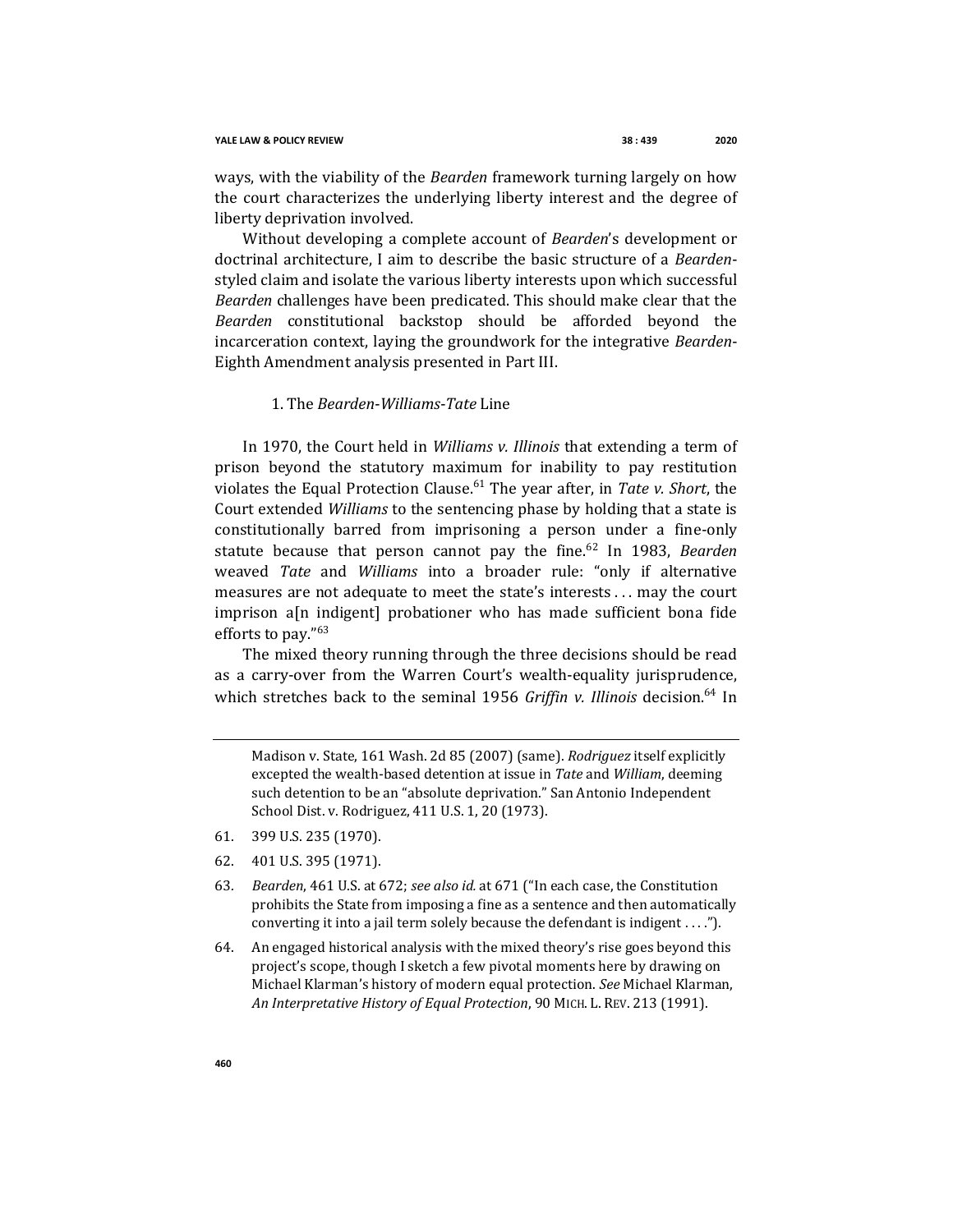#### **YALE LAW & POLICY REVIEW 38 : 439 2020**

ways, with the viability of the *Bearden* framework turning largely on how the court characterizes the underlying liberty interest and the degree of liberty deprivation involved.

Without developing a complete account of *Bearden*'s development or doctrinal architecture, I aim to describe the basic structure of a *Bearden*styled claim and isolate the various liberty interests upon which successful *Bearden* challenges have been predicated. This should make clear that the *Bearden* constitutional backstop should be afforded beyond the incarceration context, laying the groundwork for the integrative *Bearden*-Eighth Amendment analysis presented in Part III.

## 1. The *Bearden*-*Williams*-*Tate* Line

In 1970, the Court held in *Williams v. Illinois* that extending a term of prison beyond the statutory maximum for inability to pay restitution violates the Equal Protection Clause.<sup>61</sup> The year after, in *Tate v. Short*, the Court extended *Williams* to the sentencing phase by holding that a state is constitutionally barred from imprisoning a person under a fine-only statute because that person cannot pay the fine.<sup>62</sup> In 1983, *Bearden* weaved *Tate* and *Williams* into a broader rule: "only if alternative measures are not adequate to meet the state's interests . . . may the court imprison a[n indigent] probationer who has made sufficient bona fide efforts to pay."<sup>63</sup>

The mixed theory running through the three decisions should be read as a carry-over from the Warren Court's wealth-equality jurisprudence, which stretches back to the seminal 1956 *Griffin v. Illinois* decision.<sup>64</sup> In

Madison v. State, 161 Wash. 2d 85 (2007) (same). *Rodriguez* itself explicitly excepted the wealth-based detention at issue in *Tate* and *William*, deeming such detention to be an "absolute deprivation." San Antonio Independent School Dist. v. Rodriguez, 411 U.S. 1, 20 (1973).

- 61. 399 U.S. 235 (1970).
- 62. 401 U.S. 395 (1971).
- 63*. Bearden*, 461 U.S. at 672; *see also id.* at 671 ("In each case, the Constitution prohibits the State from imposing a fine as a sentence and then automatically converting it into a jail term solely because the defendant is indigent . . . .").
- 64. An engaged historical analysis with the mixed theory's rise goes beyond this project's scope, though I sketch a few pivotal moments here by drawing on Michael Klarman's history of modern equal protection. *See* Michael Klarman, *An Interpretative History of Equal Protection*, 90 MICH. L. REV. 213 (1991).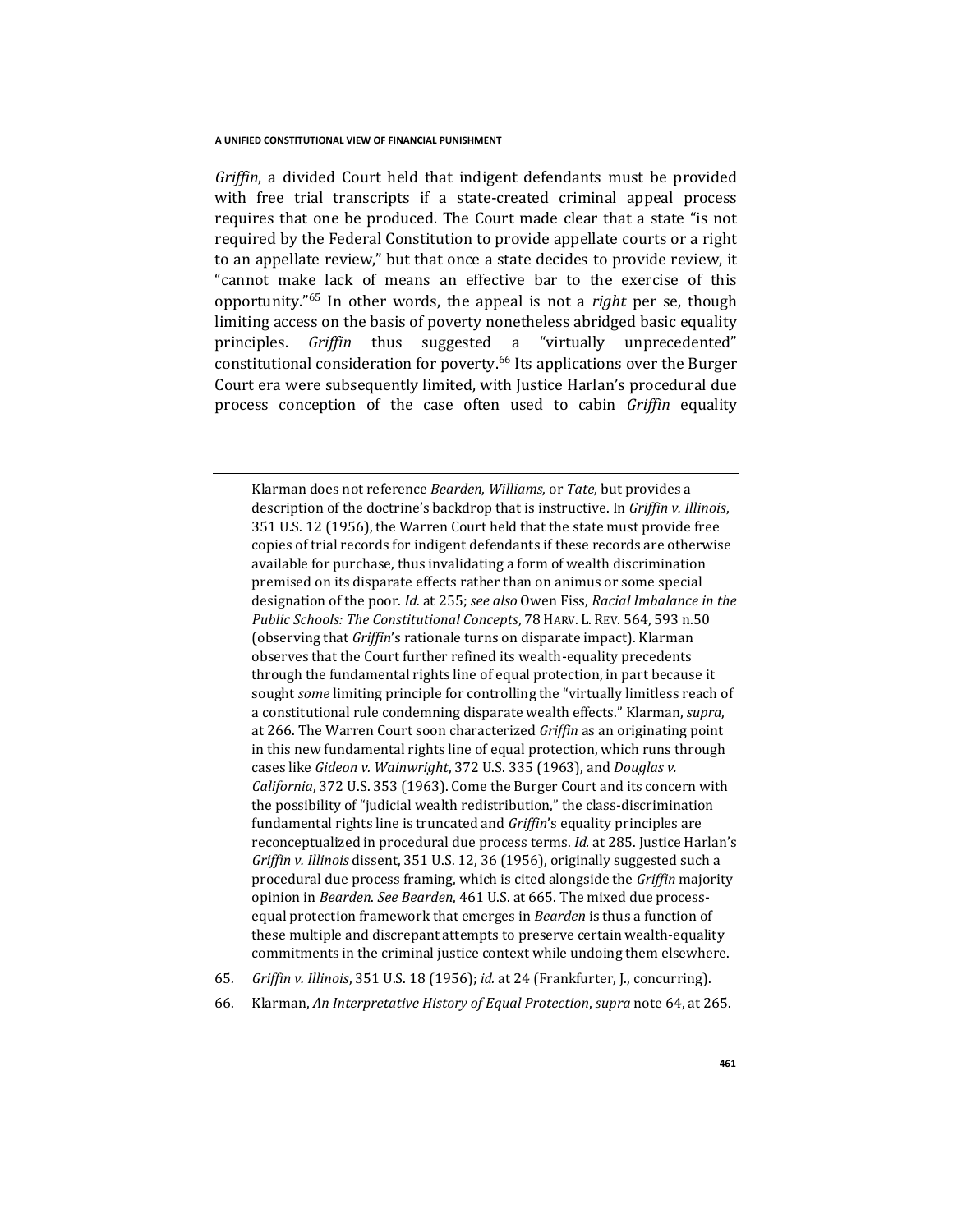*Griffin*, a divided Court held that indigent defendants must be provided with free trial transcripts if a state-created criminal appeal process requires that one be produced. The Court made clear that a state "is not required by the Federal Constitution to provide appellate courts or a right to an appellate review," but that once a state decides to provide review, it "cannot make lack of means an effective bar to the exercise of this opportunity."<sup>65</sup> In other words, the appeal is not a *right* per se, though limiting access on the basis of poverty nonetheless abridged basic equality principles. *Griffin* thus suggested a "virtually unprecedented" constitutional consideration for poverty.<sup>66</sup> Its applications over the Burger Court era were subsequently limited, with Justice Harlan's procedural due process conception of the case often used to cabin *Griffin* equality

Klarman does not reference *Bearden*, *Williams*, or *Tate*, but provides a description of the doctrine's backdrop that is instructive. In *Griffin v. Illinois*, 351 U.S. 12 (1956), the Warren Court held that the state must provide free copies of trial records for indigent defendants if these records are otherwise available for purchase, thus invalidating a form of wealth discrimination premised on its disparate effects rather than on animus or some special designation of the poor. *Id.* at 255; *see also* Owen Fiss, *Racial Imbalance in the Public Schools: The Constitutional Concepts*, 78 HARV. L. REV. 564, 593 n.50 (observing that *Griffin*'s rationale turns on disparate impact). Klarman observes that the Court further refined its wealth-equality precedents through the fundamental rights line of equal protection, in part because it sought *some* limiting principle for controlling the "virtually limitless reach of a constitutional rule condemning disparate wealth effects." Klarman, *supra*, at 266. The Warren Court soon characterized *Griffin* as an originating point in this new fundamental rights line of equal protection, which runs through cases like *Gideon v. Wainwright*, 372 U.S. 335 (1963), and *Douglas v. California*, 372 U.S. 353 (1963). Come the Burger Court and its concern with the possibility of "judicial wealth redistribution," the class-discrimination fundamental rights line is truncated and *Griffin*'s equality principles are reconceptualized in procedural due process terms. *Id.* at 285. Justice Harlan's *Griffin v. Illinois* dissent, 351 U.S. 12, 36 (1956), originally suggested such a procedural due process framing, which is cited alongside the *Griffin* majority opinion in *Bearden*. *See Bearden*, 461 U.S. at 665. The mixed due processequal protection framework that emerges in *Bearden* is thus a function of these multiple and discrepant attempts to preserve certain wealth-equality commitments in the criminal justice context while undoing them elsewhere.

- 65*. Griffin v. Illinois*, 351 U.S. 18 (1956); *id.* at 24 (Frankfurter, J., concurring).
- 66. Klarman, *An Interpretative History of Equal Protection*, *supra* note 64, at 265.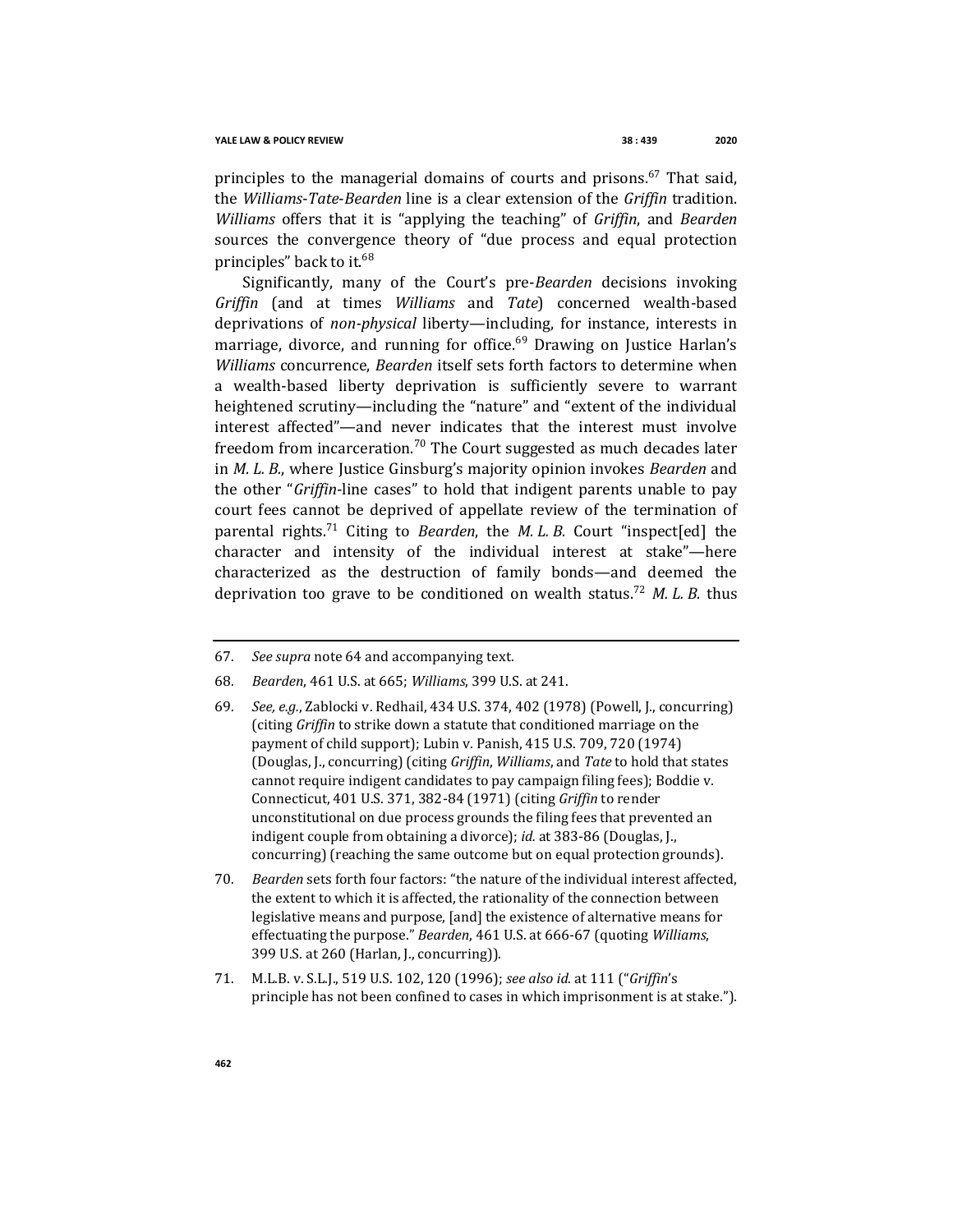principles to the managerial domains of courts and prisons.<sup>67</sup> That said, the *Williams*-*Tate*-*Bearden* line is a clear extension of the *Griffin* tradition. *Williams* offers that it is "applying the teaching" of *Griffin*, and *Bearden*  sources the convergence theory of "due process and equal protection principles" back to it.<sup>68</sup>

Significantly, many of the Court's pre-*Bearden* decisions invoking *Griffin* (and at times *Williams* and *Tate*) concerned wealth-based deprivations of *non-physical* liberty—including, for instance, interests in marriage, divorce, and running for office.<sup>69</sup> Drawing on Justice Harlan's *Williams* concurrence, *Bearden* itself sets forth factors to determine when a wealth-based liberty deprivation is sufficiently severe to warrant heightened scrutiny—including the "nature" and "extent of the individual interest affected"—and never indicates that the interest must involve freedom from incarceration.<sup>70</sup> The Court suggested as much decades later in *M. L. B.*, where Justice Ginsburg's majority opinion invokes *Bearden* and the other "*Griffin*-line cases" to hold that indigent parents unable to pay court fees cannot be deprived of appellate review of the termination of parental rights. <sup>71</sup> Citing to *Bearden*, the *M. L. B.* Court "inspect[ed] the character and intensity of the individual interest at stake"—here characterized as the destruction of family bonds—and deemed the deprivation too grave to be conditioned on wealth status.<sup>72</sup> *M. L. B.* thus

- 67*. See supra* note 64 and accompanying text.
- 68*. Bearden*, 461 U.S. at 665; *Williams*, 399 U.S. at 241.
- 69*. See, e.g.*, Zablocki v. Redhail, 434 U.S. 374, 402 (1978) (Powell, J., concurring) (citing *Griffin* to strike down a statute that conditioned marriage on the payment of child support); Lubin v. Panish, 415 U.S. 709, 720 (1974) (Douglas, J., concurring) (citing *Griffin*, *Williams*, and *Tate* to hold that states cannot require indigent candidates to pay campaign filing fees); Boddie v. Connecticut, 401 U.S. 371, 382-84 (1971) (citing *Griffin* to render unconstitutional on due process grounds the filing fees that prevented an indigent couple from obtaining a divorce); *id.* at 383-86 (Douglas, J., concurring) (reaching the same outcome but on equal protection grounds).
- 70*. Bearden* sets forth four factors: "the nature of the individual interest affected, the extent to which it is affected, the rationality of the connection between legislative means and purpose, [and] the existence of alternative means for effectuating the purpose." *Bearden*, 461 U.S. at 666-67 (quoting *Williams*, 399 U.S. at 260 (Harlan, J., concurring)).
- 71. M.L.B. v. S.L.J., 519 U.S. 102, 120 (1996); *see also id.* at 111 ("*Griffin*'s principle has not been confined to cases in which imprisonment is at stake.").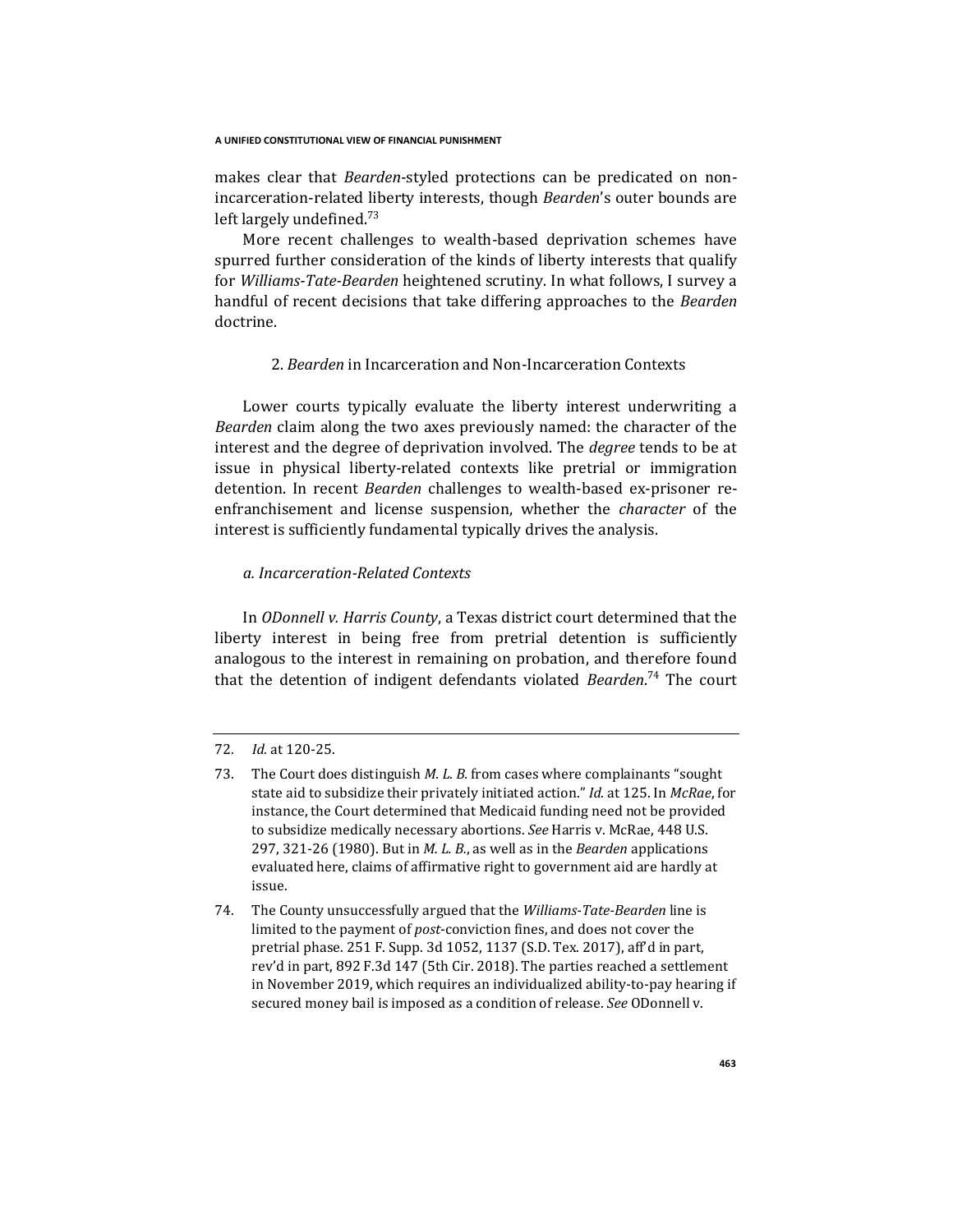makes clear that *Bearden*-styled protections can be predicated on nonincarceration-related liberty interests, though *Bearden*'s outer bounds are left largely undefined.<sup>73</sup>

More recent challenges to wealth-based deprivation schemes have spurred further consideration of the kinds of liberty interests that qualify for *Williams-Tate-Bearden* heightened scrutiny. In what follows, I survey a handful of recent decisions that take differing approaches to the *Bearden*  doctrine.

## 2. *Bearden* in Incarceration and Non-Incarceration Contexts

Lower courts typically evaluate the liberty interest underwriting a *Bearden* claim along the two axes previously named: the character of the interest and the degree of deprivation involved. The *degree* tends to be at issue in physical liberty-related contexts like pretrial or immigration detention. In recent *Bearden* challenges to wealth-based ex-prisoner reenfranchisement and license suspension, whether the *character* of the interest is sufficiently fundamental typically drives the analysis.

## *a. Incarceration-Related Contexts*

In *ODonnell v. Harris County*, a Texas district court determined that the liberty interest in being free from pretrial detention is sufficiently analogous to the interest in remaining on probation, and therefore found that the detention of indigent defendants violated *Bearden*. <sup>74</sup> The court

## 72*. Id.* at 120-25.

<sup>73.</sup> The Court does distinguish *M. L. B.* from cases where complainants "sought state aid to subsidize their privately initiated action." *Id.* at 125. In *McRae*, for instance, the Court determined that Medicaid funding need not be provided to subsidize medically necessary abortions. *See* Harris v. McRae, 448 U.S. 297, 321-26 (1980). But in *M. L. B.*, as well as in the *Bearden* applications evaluated here, claims of affirmative right to government aid are hardly at issue.

<sup>74.</sup> The County unsuccessfully argued that the *Williams-Tate-Bearden* line is limited to the payment of *post*-conviction fines, and does not cover the pretrial phase. 251 F. Supp. 3d 1052, 1137 (S.D. Tex. 2017), aff'd in part, rev'd in part, 892 F.3d 147 (5th Cir. 2018). The parties reached a settlement in November 2019, which requires an individualized ability-to-pay hearing if secured money bail is imposed as a condition of release. *See* ODonnell v.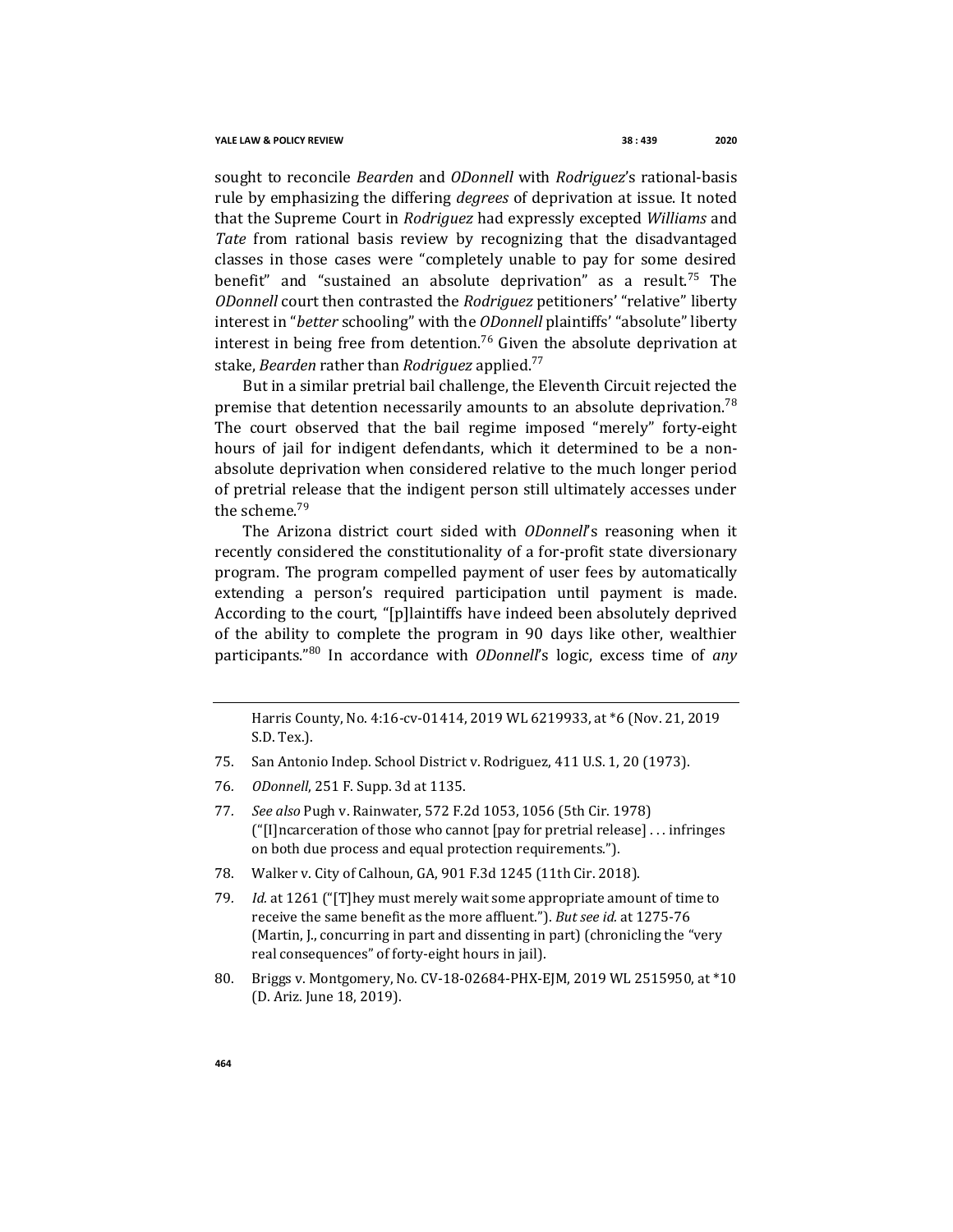sought to reconcile *Bearden* and *ODonnell* with *Rodriguez*'s rational-basis rule by emphasizing the differing *degrees* of deprivation at issue. It noted that the Supreme Court in *Rodriguez* had expressly excepted *Williams* and *Tate* from rational basis review by recognizing that the disadvantaged classes in those cases were "completely unable to pay for some desired benefit" and "sustained an absolute deprivation" as a result.<sup>75</sup> The *ODonnell* court then contrasted the *Rodriguez* petitioners' "relative" liberty interest in "*better* schooling" with the *ODonnell* plaintiffs' "absolute" liberty interest in being free from detention. <sup>76</sup> Given the absolute deprivation at stake, *Bearden* rather than *Rodriguez* applied.<sup>77</sup>

But in a similar pretrial bail challenge, the Eleventh Circuit rejected the premise that detention necessarily amounts to an absolute deprivation.<sup>78</sup> The court observed that the bail regime imposed "merely" forty-eight hours of jail for indigent defendants, which it determined to be a nonabsolute deprivation when considered relative to the much longer period of pretrial release that the indigent person still ultimately accesses under the scheme. 79

The Arizona district court sided with *ODonnell*'s reasoning when it recently considered the constitutionality of a for-profit state diversionary program. The program compelled payment of user fees by automatically extending a person's required participation until payment is made. According to the court, "[p]laintiffs have indeed been absolutely deprived of the ability to complete the program in 90 days like other, wealthier participants."<sup>80</sup> In accordance with *ODonnell*'s logic, excess time of *any*

Harris County, No. 4:16-cv-01414, 2019 WL 6219933, at \*6 (Nov. 21, 2019 S.D. Tex.).

- 75. San Antonio Indep. School District v. Rodriguez, 411 U.S. 1, 20 (1973).
- 76*. ODonnell*, 251 F. Supp. 3d at 1135.
- 77*. See also* Pugh v. Rainwater, 572 F.2d 1053, 1056 (5th Cir. 1978) ("[I]ncarceration of those who cannot [pay for pretrial release] . . . infringes on both due process and equal protection requirements.").
- 78. Walker v. City of Calhoun, GA, 901 F.3d 1245 (11th Cir. 2018).
- 79*. Id.* at 1261 ("[T]hey must merely wait some appropriate amount of time to receive the same benefit as the more affluent."). *But see id.* at 1275-76 (Martin, J., concurring in part and dissenting in part) (chronicling the "very real consequences" of forty-eight hours in jail).
- 80. Briggs v. Montgomery, No. CV-18-02684-PHX-EJM, 2019 WL 2515950, at \*10 (D. Ariz. June 18, 2019).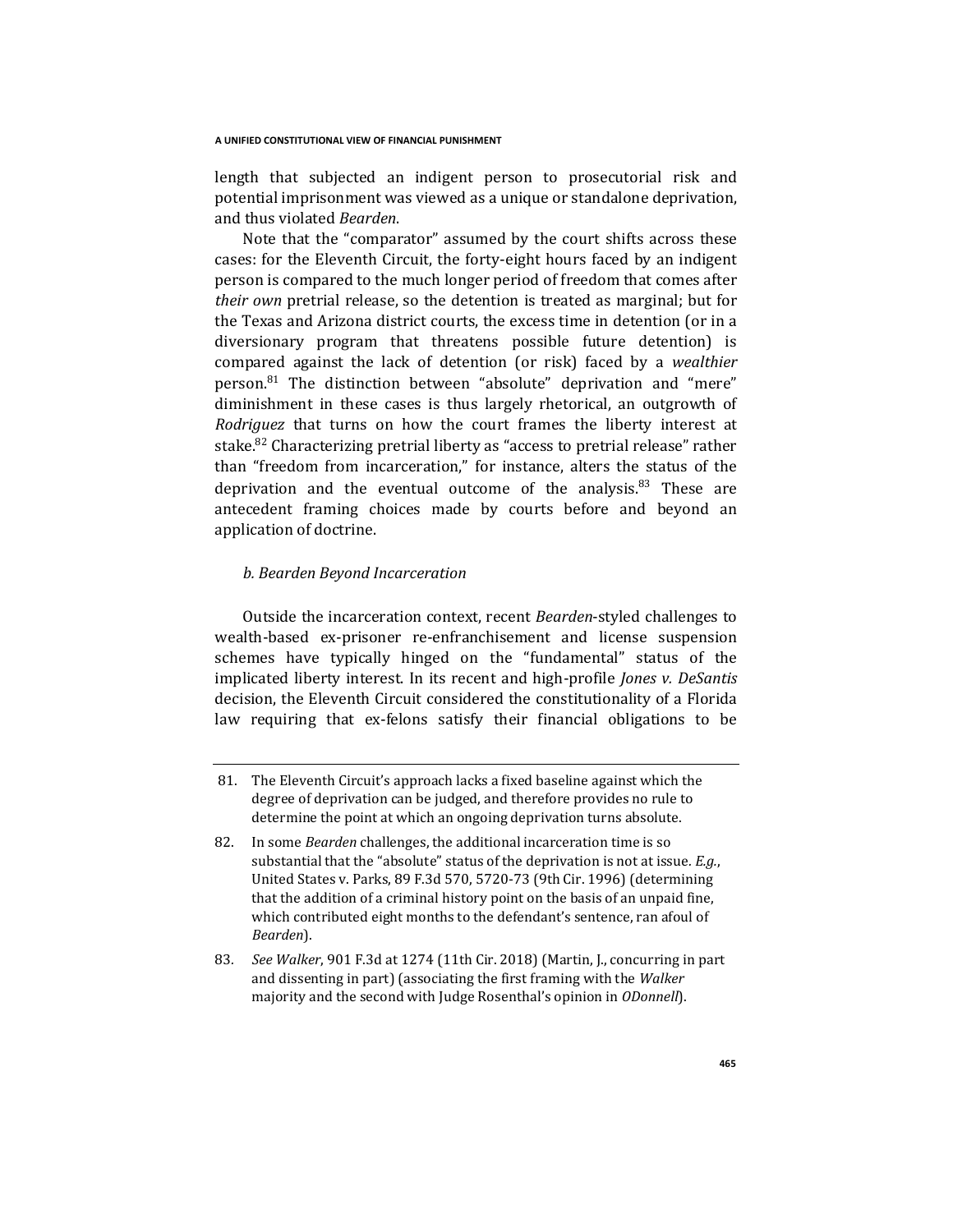length that subjected an indigent person to prosecutorial risk and potential imprisonment was viewed as a unique or standalone deprivation, and thus violated *Bearden*.

Note that the "comparator" assumed by the court shifts across these cases: for the Eleventh Circuit, the forty-eight hours faced by an indigent person is compared to the much longer period of freedom that comes after *their own* pretrial release, so the detention is treated as marginal; but for the Texas and Arizona district courts, the excess time in detention (or in a diversionary program that threatens possible future detention) is compared against the lack of detention (or risk) faced by a *wealthier*  person.<sup>81</sup> The distinction between "absolute" deprivation and "mere" diminishment in these cases is thus largely rhetorical, an outgrowth of *Rodriguez* that turns on how the court frames the liberty interest at stake.<sup>82</sup> Characterizing pretrial liberty as "access to pretrial release" rather than "freedom from incarceration," for instance, alters the status of the deprivation and the eventual outcome of the analysis.<sup>83</sup> These are antecedent framing choices made by courts before and beyond an application of doctrine.

## *b. Bearden Beyond Incarceration*

Outside the incarceration context, recent *Bearden*-styled challenges to wealth-based ex-prisoner re-enfranchisement and license suspension schemes have typically hinged on the "fundamental" status of the implicated liberty interest. In its recent and high-profile *Jones v. DeSantis*  decision, the Eleventh Circuit considered the constitutionality of a Florida law requiring that ex-felons satisfy their financial obligations to be

<sup>81.</sup> The Eleventh Circuit's approach lacks a fixed baseline against which the degree of deprivation can be judged, and therefore provides no rule to determine the point at which an ongoing deprivation turns absolute.

<sup>82.</sup> In some *Bearden* challenges, the additional incarceration time is so substantial that the "absolute" status of the deprivation is not at issue*. E.g.*, United States v. Parks, 89 F.3d 570, 5720-73 (9th Cir. 1996) (determining that the addition of a criminal history point on the basis of an unpaid fine, which contributed eight months to the defendant's sentence, ran afoul of *Bearden*).

<sup>83</sup>*. See Walker*, 901 F.3d at 1274 (11th Cir. 2018) (Martin, J., concurring in part and dissenting in part) (associating the first framing with the *Walker*  majority and the second with Judge Rosenthal's opinion in *ODonnell*).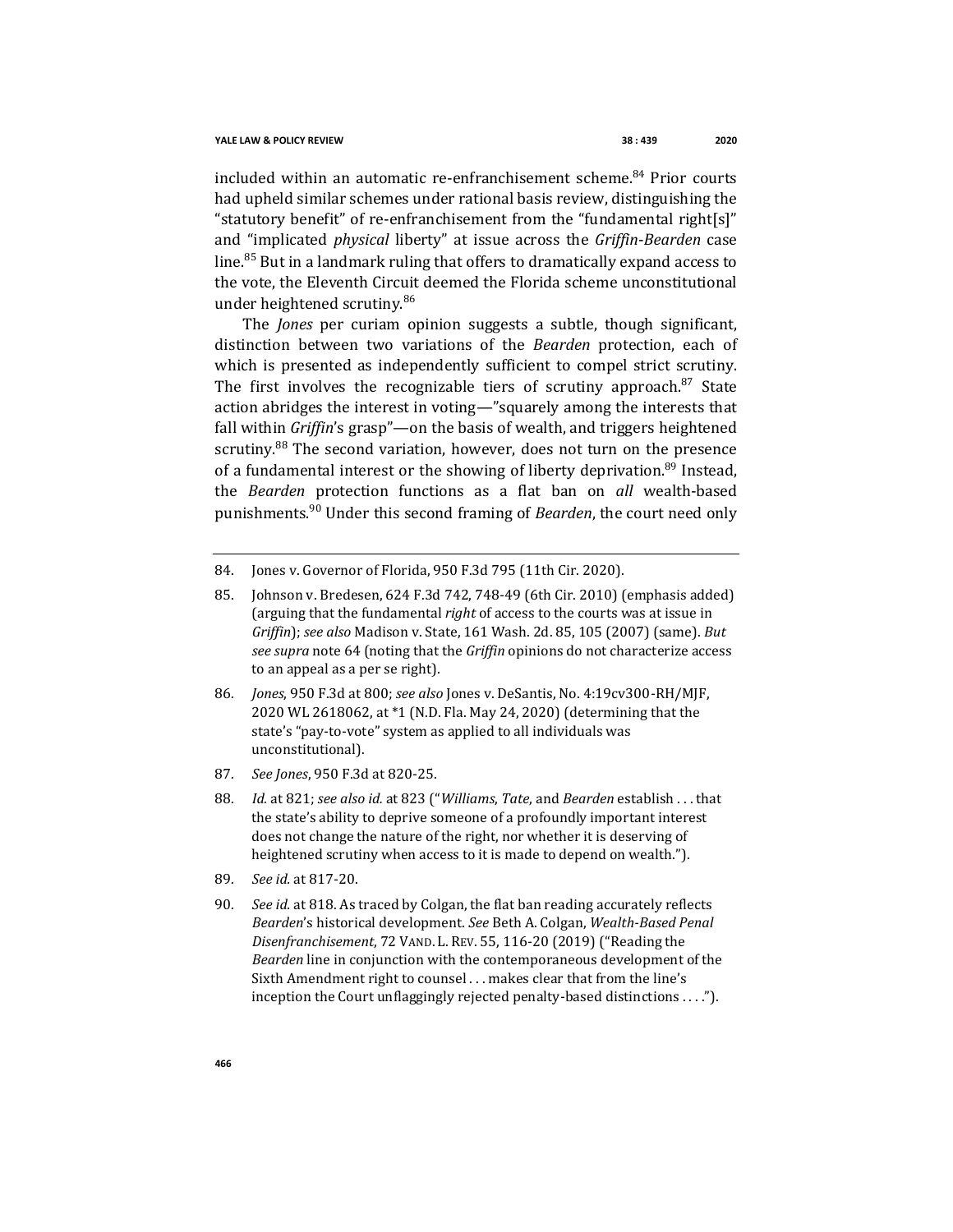included within an automatic re-enfranchisement scheme.<sup>84</sup> Prior courts had upheld similar schemes under rational basis review, distinguishing the "statutory benefit" of re-enfranchisement from the "fundamental right[s]" and "implicated *physical* liberty" at issue across the *Griffin*-*Bearden* case line.<sup>85</sup> But in a landmark ruling that offers to dramatically expand access to the vote, the Eleventh Circuit deemed the Florida scheme unconstitutional under heightened scrutiny.<sup>86</sup>

The *Jones* per curiam opinion suggests a subtle, though significant, distinction between two variations of the *Bearden* protection, each of which is presented as independently sufficient to compel strict scrutiny. The first involves the recognizable tiers of scrutiny approach. $87$  State action abridges the interest in voting—"squarely among the interests that fall within *Griffin*'s grasp"—on the basis of wealth, and triggers heightened scrutiny.<sup>88</sup> The second variation, however, does not turn on the presence of a fundamental interest or the showing of liberty deprivation.<sup>89</sup> Instead, the *Bearden* protection functions as a flat ban on *all* wealth-based punishments.<sup>90</sup> Under this second framing of *Bearden*, the court need only

- 84. Jones v. Governor of Florida, 950 F.3d 795 (11th Cir. 2020).
- 85. Johnson v. Bredesen, 624 F.3d 742, 748-49 (6th Cir. 2010) (emphasis added) (arguing that the fundamental *right* of access to the courts was at issue in *Griffin*); *see also* Madison v. State, 161 Wash. 2d. 85, 105 (2007) (same). *But see supra* note 64 (noting that the *Griffin* opinions do not characterize access to an appeal as a per se right).
- 86*. Jones*, 950 F.3d at 800; *see also* Jones v. DeSantis, No. 4:19cv300-RH/MJF, 2020 WL 2618062, at \*1 (N.D. Fla. May 24, 2020) (determining that the state's "pay-to-vote" system as applied to all individuals was unconstitutional).
- 87*. See Jones*, 950 F.3d at 820-25.
- 88*. Id.* at 821; *see also id.* at 823 ("*Williams*, *Tate*, and *Bearden* establish . . . that the state's ability to deprive someone of a profoundly important interest does not change the nature of the right, nor whether it is deserving of heightened scrutiny when access to it is made to depend on wealth.").
- 89*. See id.* at 817-20.
- 90*. See id.* at 818. As traced by Colgan, the flat ban reading accurately reflects *Bearden*'s historical development. *See* Beth A. Colgan, *Wealth-Based Penal Disenfranchisement*, 72 VAND. L. REV. 55, 116-20 (2019) ("Reading the *Bearden* line in conjunction with the contemporaneous development of the Sixth Amendment right to counsel . . . makes clear that from the line's inception the Court unflaggingly rejected penalty-based distinctions . . . .").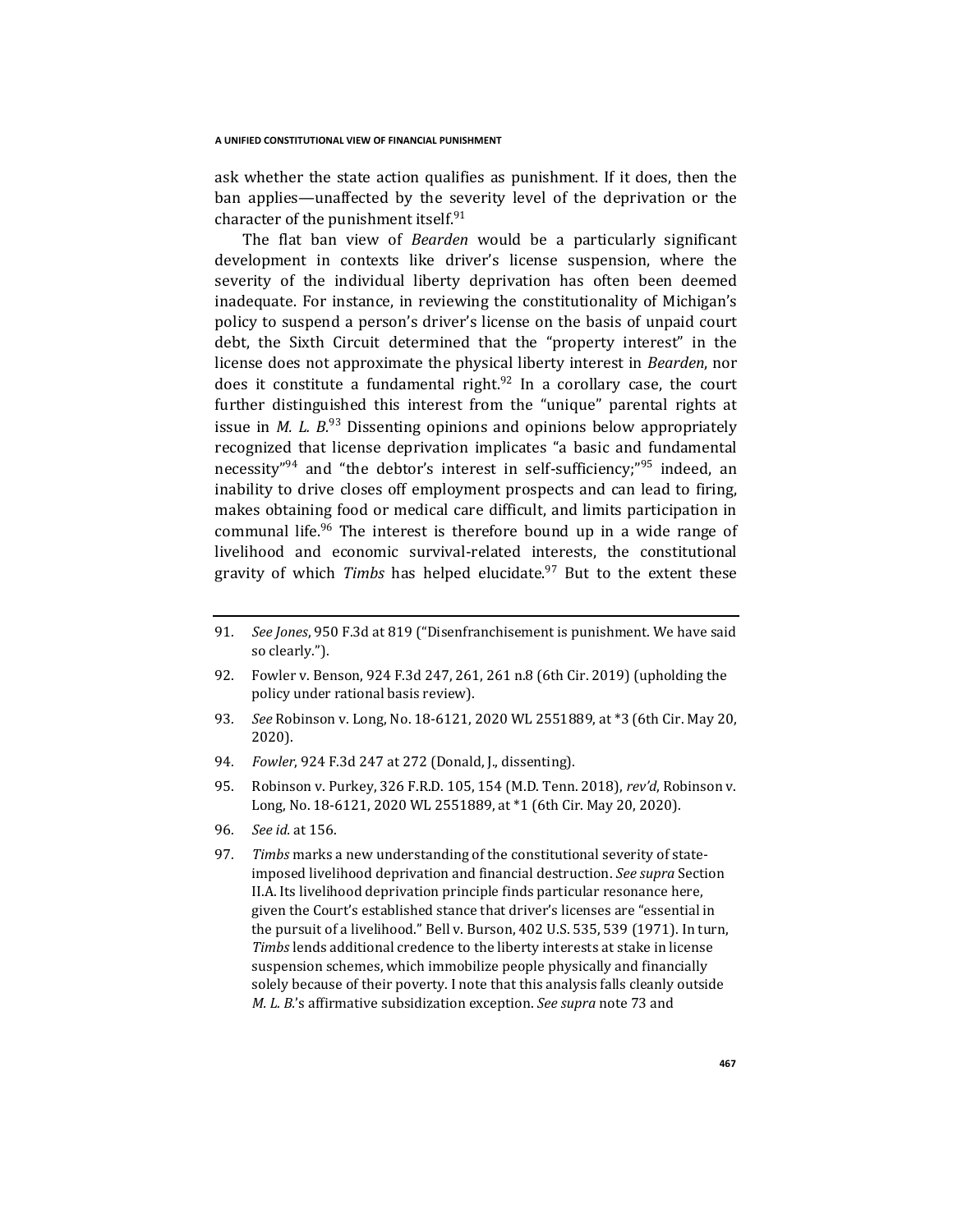ask whether the state action qualifies as punishment. If it does, then the ban applies—unaffected by the severity level of the deprivation or the character of the punishment itself.<sup>91</sup>

The flat ban view of *Bearden* would be a particularly significant development in contexts like driver's license suspension, where the severity of the individual liberty deprivation has often been deemed inadequate. For instance, in reviewing the constitutionality of Michigan's policy to suspend a person's driver's license on the basis of unpaid court debt, the Sixth Circuit determined that the "property interest" in the license does not approximate the physical liberty interest in *Bearden*, nor does it constitute a fundamental right.<sup>92</sup> In a corollary case, the court further distinguished this interest from the "unique" parental rights at issue in *M. L.*  $B^{93}$  Dissenting opinions and opinions below appropriately recognized that license deprivation implicates "a basic and fundamental necessity"<sup>94</sup> and "the debtor's interest in self-sufficiency;"<sup>95</sup> indeed, an inability to drive closes off employment prospects and can lead to firing, makes obtaining food or medical care difficult, and limits participation in communal life.<sup>96</sup> The interest is therefore bound up in a wide range of livelihood and economic survival-related interests, the constitutional gravity of which *Timbs* has helped elucidate.<sup>97</sup> But to the extent these

- 91*. See Jones*, 950 F.3d at 819 ("Disenfranchisement is punishment. We have said so clearly.").
- 92. Fowler v. Benson, 924 F.3d 247, 261, 261 n.8 (6th Cir. 2019) (upholding the policy under rational basis review).
- 93*. See* Robinson v. Long, No. 18-6121, 2020 WL 2551889, at \*3 (6th Cir. May 20, 2020).
- 94*. Fowler*, 924 F.3d 247 at 272 (Donald, J., dissenting).
- 95. Robinson v. Purkey, 326 F.R.D. 105, 154 (M.D. Tenn. 2018), *rev'd*, Robinson v. Long, No. 18-6121, 2020 WL 2551889, at \*1 (6th Cir. May 20, 2020).
- 96*. See id.* at 156.
- 97*. Timbs* marks a new understanding of the constitutional severity of stateimposed livelihood deprivation and financial destruction. *See supra* Section II.A. Its livelihood deprivation principle finds particular resonance here, given the Court's established stance that driver's licenses are "essential in the pursuit of a livelihood." Bell v. Burson, 402 U.S. 535, 539 (1971). In turn, *Timbs* lends additional credence to the liberty interests at stake in license suspension schemes, which immobilize people physically and financially solely because of their poverty. I note that this analysis falls cleanly outside *M. L. B.*'s affirmative subsidization exception. *See supra* note 73 and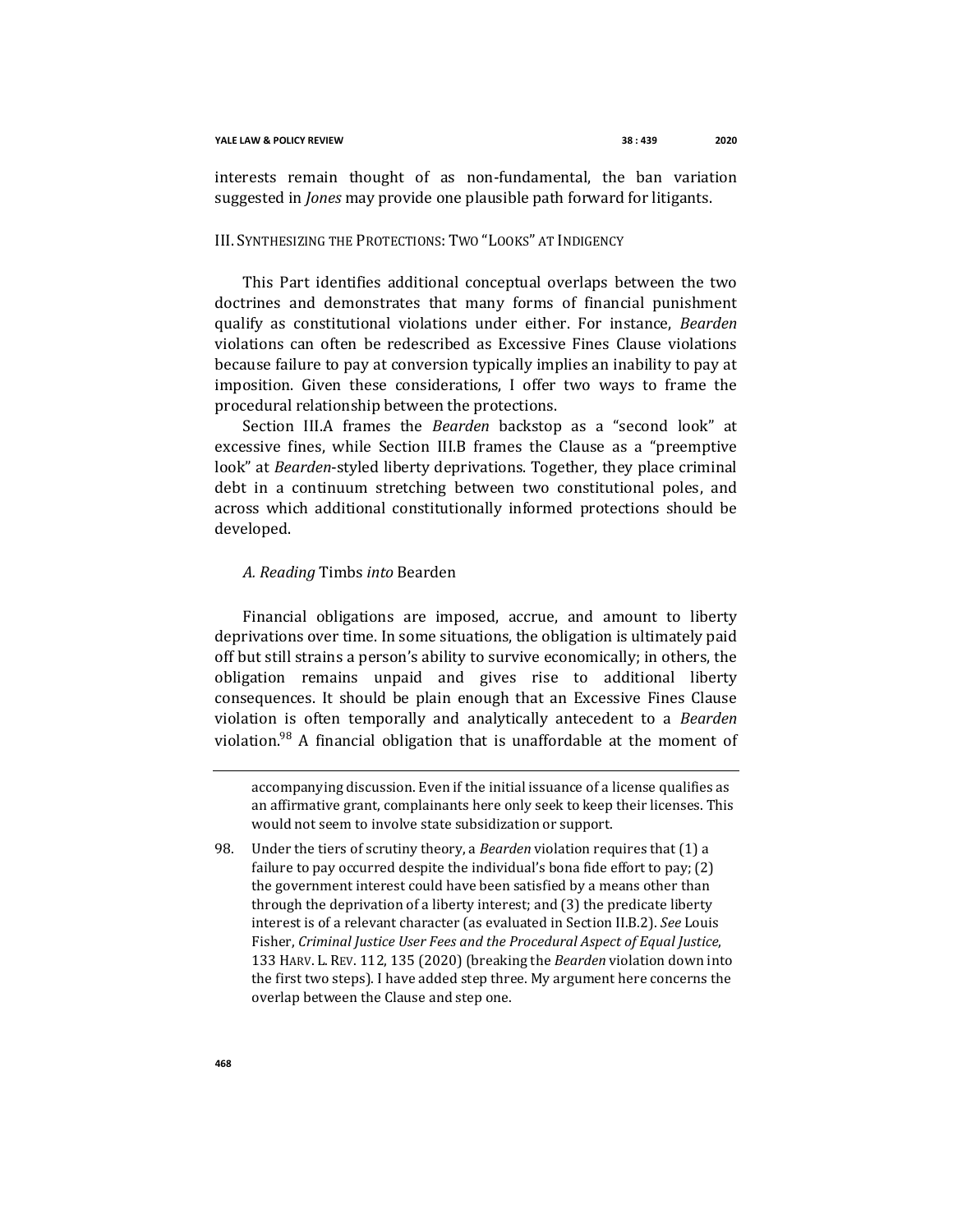interests remain thought of as non-fundamental, the ban variation suggested in *Jones* may provide one plausible path forward for litigants.

## III. SYNTHESIZING THE PROTECTIONS: TWO "LOOKS" AT INDIGENCY

This Part identifies additional conceptual overlaps between the two doctrines and demonstrates that many forms of financial punishment qualify as constitutional violations under either. For instance, *Bearden*  violations can often be redescribed as Excessive Fines Clause violations because failure to pay at conversion typically implies an inability to pay at imposition. Given these considerations, I offer two ways to frame the procedural relationship between the protections.

Section III.A frames the *Bearden* backstop as a "second look" at excessive fines, while Section III.B frames the Clause as a "preemptive look" at *Bearden*-styled liberty deprivations. Together, they place criminal debt in a continuum stretching between two constitutional poles, and across which additional constitutionally informed protections should be developed.

## *A. Reading* Timbs *into* Bearden

Financial obligations are imposed, accrue, and amount to liberty deprivations over time. In some situations, the obligation is ultimately paid off but still strains a person's ability to survive economically; in others, the obligation remains unpaid and gives rise to additional liberty consequences. It should be plain enough that an Excessive Fines Clause violation is often temporally and analytically antecedent to a *Bearden*  violation.<sup>98</sup> A financial obligation that is unaffordable at the moment of

accompanying discussion. Even if the initial issuance of a license qualifies as an affirmative grant, complainants here only seek to keep their licenses. This would not seem to involve state subsidization or support.

98. Under the tiers of scrutiny theory, a *Bearden* violation requires that (1) a failure to pay occurred despite the individual's bona fide effort to pay; (2) the government interest could have been satisfied by a means other than through the deprivation of a liberty interest; and (3) the predicate liberty interest is of a relevant character (as evaluated in Section II.B.2). *See* Louis Fisher, *Criminal Justice User Fees and the Procedural Aspect of Equal Justice*, 133 HARV. L. REV. 112, 135 (2020) (breaking the *Bearden* violation down into the first two steps). I have added step three. My argument here concerns the overlap between the Clause and step one.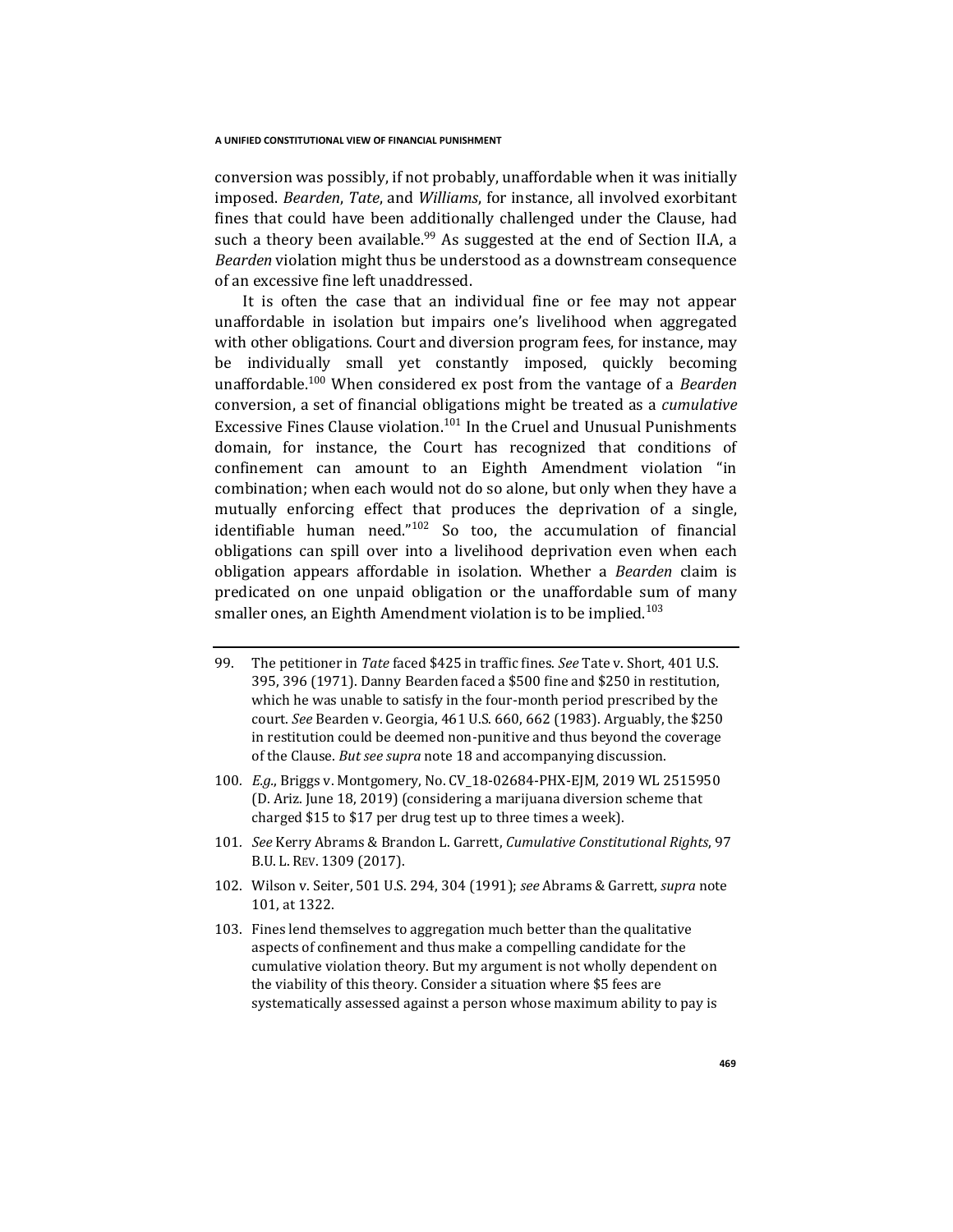conversion was possibly, if not probably, unaffordable when it was initially imposed. *Bearden*, *Tate*, and *Williams*, for instance, all involved exorbitant fines that could have been additionally challenged under the Clause, had such a theory been available.<sup>99</sup> As suggested at the end of Section II.A. a *Bearden* violation might thus be understood as a downstream consequence of an excessive fine left unaddressed.

It is often the case that an individual fine or fee may not appear unaffordable in isolation but impairs one's livelihood when aggregated with other obligations. Court and diversion program fees, for instance, may be individually small yet constantly imposed, quickly becoming unaffordable.<sup>100</sup> When considered ex post from the vantage of a *Bearden*  conversion, a set of financial obligations might be treated as a *cumulative*  Excessive Fines Clause violation.<sup>101</sup> In the Cruel and Unusual Punishments domain, for instance, the Court has recognized that conditions of confinement can amount to an Eighth Amendment violation "in combination; when each would not do so alone, but only when they have a mutually enforcing effect that produces the deprivation of a single, identifiable human need."<sup>102</sup> So too, the accumulation of financial obligations can spill over into a livelihood deprivation even when each obligation appears affordable in isolation. Whether a *Bearden* claim is predicated on one unpaid obligation or the unaffordable sum of many smaller ones, an Eighth Amendment violation is to be implied.<sup>103</sup>

- 99. The petitioner in *Tate* faced \$425 in traffic fines. *See* Tate v. Short, 401 U.S. 395, 396 (1971). Danny Bearden faced a \$500 fine and \$250 in restitution, which he was unable to satisfy in the four-month period prescribed by the court. *See* Bearden v. Georgia, 461 U.S. 660, 662 (1983). Arguably, the \$250 in restitution could be deemed non-punitive and thus beyond the coverage of the Clause. *But see supra* note 18 and accompanying discussion.
- 100*. E.g.*, Briggs v. Montgomery, No. CV\_18-02684-PHX-EJM, 2019 WL 2515950 (D. Ariz. June 18, 2019) (considering a marijuana diversion scheme that charged \$15 to \$17 per drug test up to three times a week).
- 101*. See* Kerry Abrams & Brandon L. Garrett, *Cumulative Constitutional Rights*, 97 B.U. L. REV. 1309 (2017).
- 102. Wilson v. Seiter, 501 U.S. 294, 304 (1991); *see* Abrams & Garrett, *supra* note 101, at 1322.
- 103. Fines lend themselves to aggregation much better than the qualitative aspects of confinement and thus make a compelling candidate for the cumulative violation theory. But my argument is not wholly dependent on the viability of this theory. Consider a situation where \$5 fees are systematically assessed against a person whose maximum ability to pay is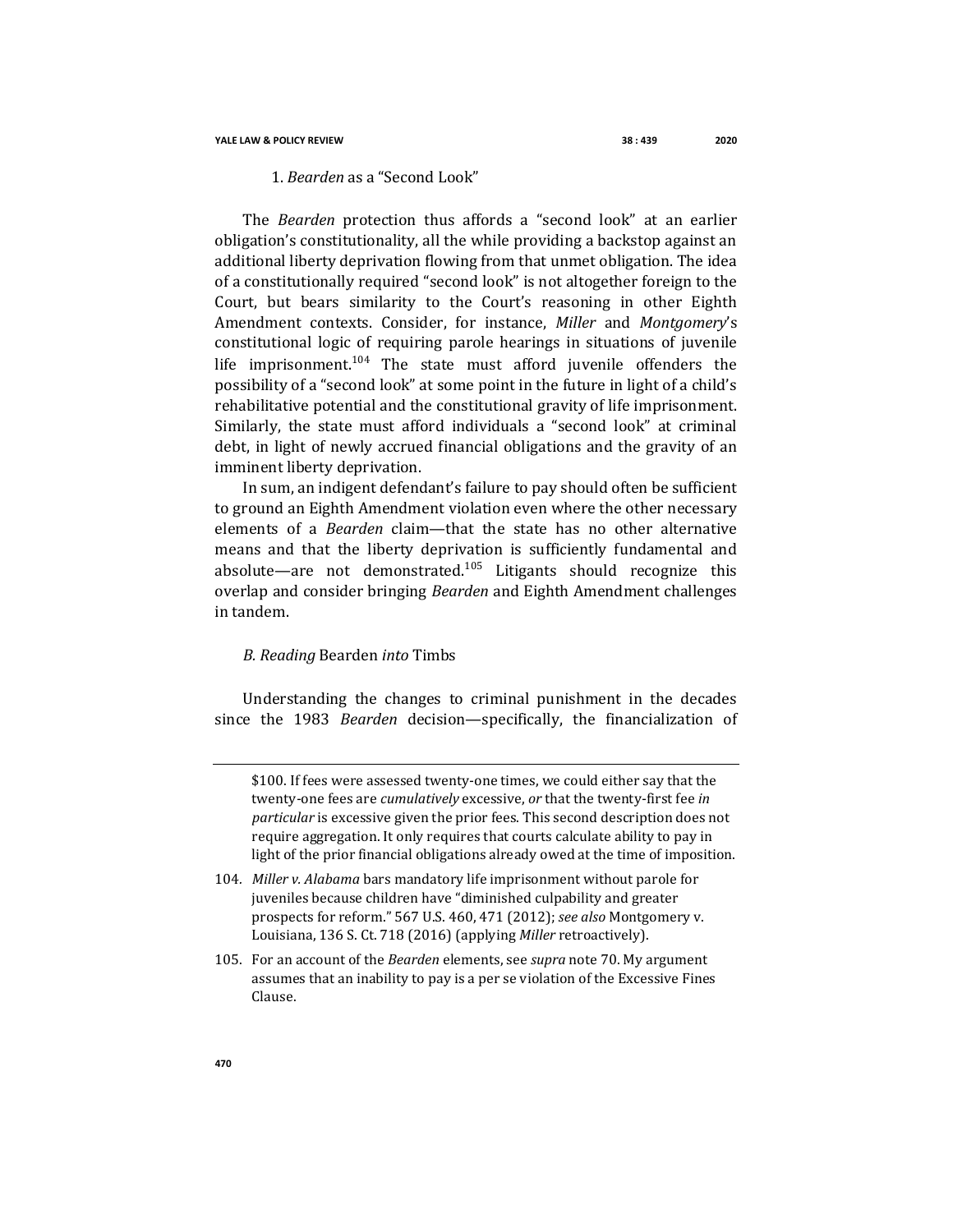### **YALE LAW & POLICY REVIEW 38 : 439 2020**

## 1. *Bearden* as a "Second Look"

The *Bearden* protection thus affords a "second look" at an earlier obligation's constitutionality, all the while providing a backstop against an additional liberty deprivation flowing from that unmet obligation. The idea of a constitutionally required "second look" is not altogether foreign to the Court, but bears similarity to the Court's reasoning in other Eighth Amendment contexts. Consider, for instance, *Miller* and *Montgomery*'s constitutional logic of requiring parole hearings in situations of juvenile life imprisonment.<sup>104</sup> The state must afford juvenile offenders the possibility of a "second look" at some point in the future in light of a child's rehabilitative potential and the constitutional gravity of life imprisonment. Similarly, the state must afford individuals a "second look" at criminal debt, in light of newly accrued financial obligations and the gravity of an imminent liberty deprivation.

In sum, an indigent defendant's failure to pay should often be sufficient to ground an Eighth Amendment violation even where the other necessary elements of a *Bearden* claim—that the state has no other alternative means and that the liberty deprivation is sufficiently fundamental and absolute—are not demonstrated.<sup>105</sup> Litigants should recognize this overlap and consider bringing *Bearden* and Eighth Amendment challenges in tandem.

## *B. Reading* Bearden *into* Timbs

Understanding the changes to criminal punishment in the decades since the 1983 *Bearden* decision—specifically, the financialization of

- 104*. Miller v. Alabama* bars mandatory life imprisonment without parole for juveniles because children have "diminished culpability and greater prospects for reform." 567 U.S. 460, 471 (2012); *see also* Montgomery v. Louisiana, 136 S. Ct. 718 (2016) (applying *Miller* retroactively).
- 105. For an account of the *Bearden* elements, see *supra* note 70. My argument assumes that an inability to pay is a per se violation of the Excessive Fines Clause.

<sup>\$100.</sup> If fees were assessed twenty-one times, we could either say that the twenty-one fees are *cumulatively* excessive, *or* that the twenty-first fee *in particular* is excessive given the prior fees. This second description does not require aggregation. It only requires that courts calculate ability to pay in light of the prior financial obligations already owed at the time of imposition.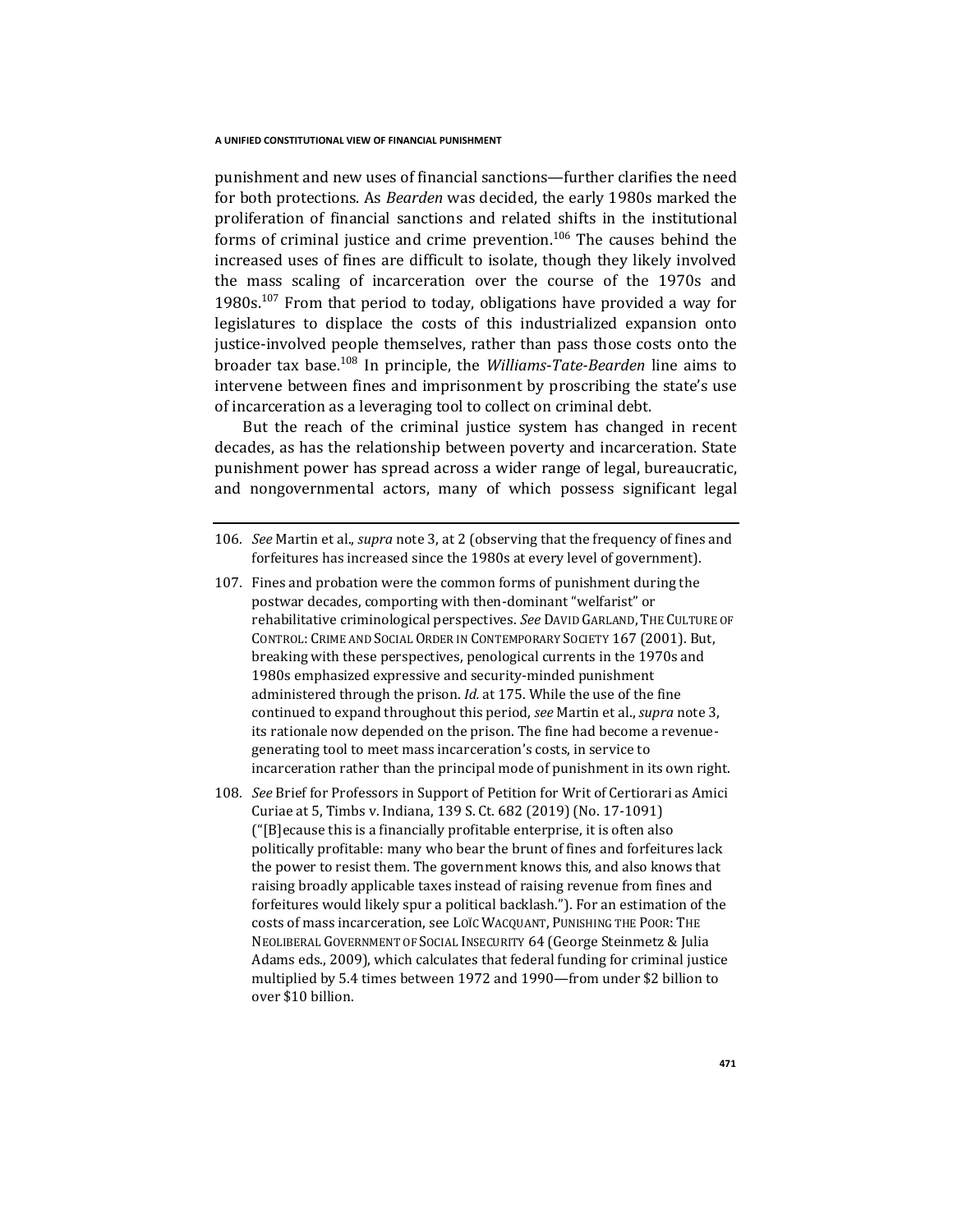punishment and new uses of financial sanctions—further clarifies the need for both protections. As *Bearden* was decided, the early 1980s marked the proliferation of financial sanctions and related shifts in the institutional forms of criminal justice and crime prevention.<sup>106</sup> The causes behind the increased uses of fines are difficult to isolate, though they likely involved the mass scaling of incarceration over the course of the 1970s and 1980s.<sup>107</sup> From that period to today, obligations have provided a way for legislatures to displace the costs of this industrialized expansion onto justice-involved people themselves, rather than pass those costs onto the broader tax base.<sup>108</sup> In principle, the *Williams*-*Tate-Bearden* line aims to intervene between fines and imprisonment by proscribing the state's use of incarceration as a leveraging tool to collect on criminal debt.

But the reach of the criminal justice system has changed in recent decades, as has the relationship between poverty and incarceration. State punishment power has spread across a wider range of legal, bureaucratic, and nongovernmental actors, many of which possess significant legal

- 107. Fines and probation were the common forms of punishment during the postwar decades, comporting with then-dominant "welfarist" or rehabilitative criminological perspectives. *See* DAVID GARLAND, THE CULTURE OF CONTROL: CRIME AND SOCIAL ORDER IN CONTEMPORARY SOCIETY 167 (2001). But, breaking with these perspectives, penological currents in the 1970s and 1980s emphasized expressive and security-minded punishment administered through the prison. *Id.* at 175. While the use of the fine continued to expand throughout this period, *see* Martin et al., *supra* note 3, its rationale now depended on the prison. The fine had become a revenuegenerating tool to meet mass incarceration's costs, in service to incarceration rather than the principal mode of punishment in its own right.
- 108*. See* Brief for Professors in Support of Petition for Writ of Certiorari as Amici Curiae at 5, Timbs v. Indiana, 139 S. Ct. 682 (2019) (No. 17-1091) ("[B]ecause this is a financially profitable enterprise, it is often also politically profitable: many who bear the brunt of fines and forfeitures lack the power to resist them. The government knows this, and also knows that raising broadly applicable taxes instead of raising revenue from fines and forfeitures would likely spur a political backlash."). For an estimation of the costs of mass incarceration, see LOÏC WACQUANT, PUNISHING THE POOR: THE NEOLIBERAL GOVERNMENT OF SOCIAL INSECURITY 64 (George Steinmetz & Julia Adams eds., 2009), which calculates that federal funding for criminal justice multiplied by 5.4 times between 1972 and 1990—from under \$2 billion to over \$10 billion.

<sup>106</sup>*. See* Martin et al., *supra* note 3, at 2 (observing that the frequency of fines and forfeitures has increased since the 1980s at every level of government).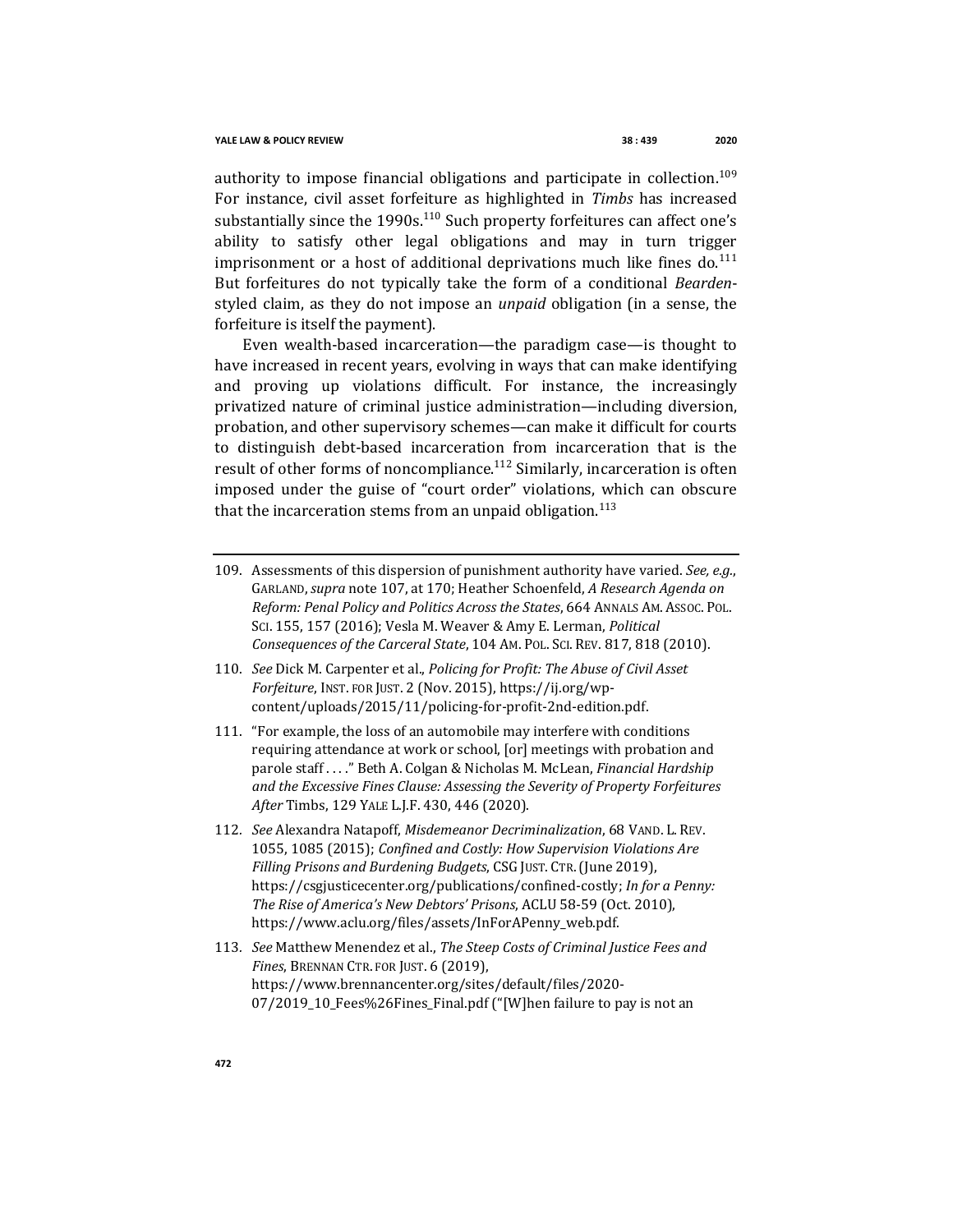authority to impose financial obligations and participate in collection.<sup>109</sup> For instance, civil asset forfeiture as highlighted in *Timbs* has increased substantially since the 1990s.<sup>110</sup> Such property forfeitures can affect one's ability to satisfy other legal obligations and may in turn trigger imprisonment or a host of additional deprivations much like fines do. $111$ But forfeitures do not typically take the form of a conditional *Bearden*styled claim, as they do not impose an *unpaid* obligation (in a sense, the forfeiture is itself the payment).

Even wealth-based incarceration—the paradigm case—is thought to have increased in recent years, evolving in ways that can make identifying and proving up violations difficult. For instance, the increasingly privatized nature of criminal justice administration—including diversion, probation, and other supervisory schemes—can make it difficult for courts to distinguish debt-based incarceration from incarceration that is the result of other forms of noncompliance.<sup>112</sup> Similarly, incarceration is often imposed under the guise of "court order" violations, which can obscure that the incarceration stems from an unpaid obligation.<sup>113</sup>

- 109. Assessments of this dispersion of punishment authority have varied. *See, e.g.*, GARLAND,*supra* note 107, at 170; Heather Schoenfeld, *A Research Agenda on Reform: Penal Policy and Politics Across the States*, 664 ANNALS AM. ASSOC. POL. SCI. 155, 157 (2016); Vesla M. Weaver & Amy E. Lerman, *Political Consequences of the Carceral State*, 104 AM. POL. SCI. REV. 817, 818 (2010).
- 110. *See* Dick M. Carpenter et al., *Policing for Profit: The Abuse of Civil Asset Forfeiture*, INST. FOR JUST. 2 (Nov. 2015), https://ij.org/wpcontent/uploads/2015/11/policing-for-profit-2nd-edition.pdf.
- 111. "For example, the loss of an automobile may interfere with conditions requiring attendance at work or school, [or] meetings with probation and parole staff . . . ." Beth A. Colgan & Nicholas M. McLean, *Financial Hardship and the Excessive Fines Clause: Assessing the Severity of Property Forfeitures After* Timbs, 129 YALE L.J.F. 430, 446 (2020).
- 112*. See* Alexandra Natapoff, *Misdemeanor Decriminalization*, 68 VAND. L. REV. 1055, 1085 (2015); *Confined and Costly: How Supervision Violations Are Filling Prisons and Burdening Budgets*, CSG JUST. CTR.(June 2019), https://csgjusticecenter.org/publications/confined-costly; *In for a Penny: The Rise of America's New Debtors' Prisons*, ACLU 58-59 (Oct. 2010), https://www.aclu.org/files/assets/InForAPenny\_web.pdf.
- 113*. See* Matthew Menendez et al., *The Steep Costs of Criminal Justice Fees and Fines*, BRENNAN CTR. FOR JUST. 6 (2019), https://www.brennancenter.org/sites/default/files/2020- 07/2019\_10\_Fees%26Fines\_Final.pdf ("[W]hen failure to pay is not an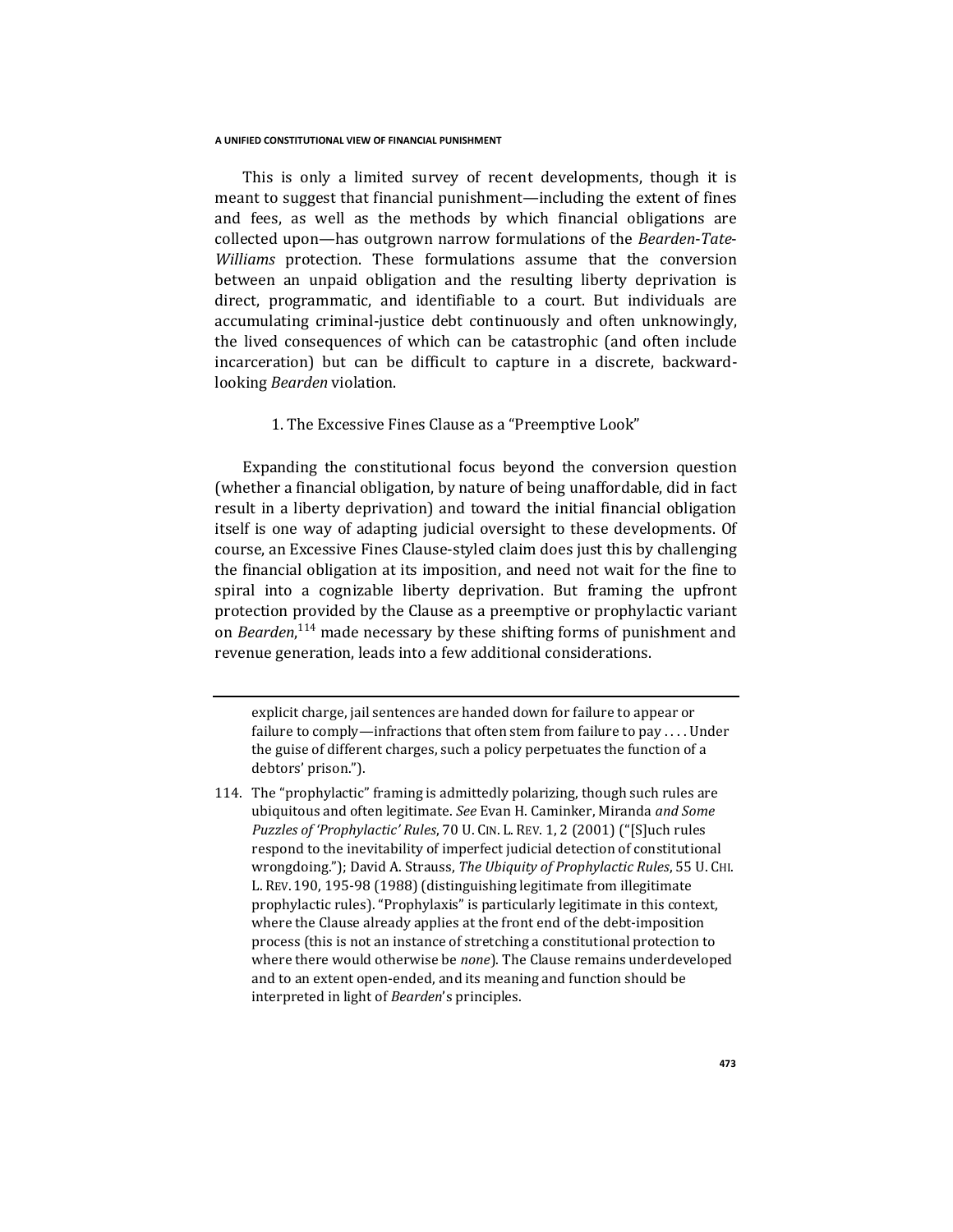This is only a limited survey of recent developments, though it is meant to suggest that financial punishment—including the extent of fines and fees, as well as the methods by which financial obligations are collected upon—has outgrown narrow formulations of the *Bearden*-*Tate*-*Williams* protection. These formulations assume that the conversion between an unpaid obligation and the resulting liberty deprivation is direct, programmatic, and identifiable to a court. But individuals are accumulating criminal-justice debt continuously and often unknowingly, the lived consequences of which can be catastrophic (and often include incarceration) but can be difficult to capture in a discrete, backwardlooking *Bearden* violation.

## 1. The Excessive Fines Clause as a "Preemptive Look"

Expanding the constitutional focus beyond the conversion question (whether a financial obligation, by nature of being unaffordable, did in fact result in a liberty deprivation) and toward the initial financial obligation itself is one way of adapting judicial oversight to these developments. Of course, an Excessive Fines Clause-styled claim does just this by challenging the financial obligation at its imposition, and need not wait for the fine to spiral into a cognizable liberty deprivation. But framing the upfront protection provided by the Clause as a preemptive or prophylactic variant on *Bearden*, <sup>114</sup> made necessary by these shifting forms of punishment and revenue generation, leads into a few additional considerations.

explicit charge, jail sentences are handed down for failure to appear or failure to comply—infractions that often stem from failure to pay . . . . Under the guise of different charges, such a policy perpetuates the function of a debtors' prison.").

<sup>114.</sup> The "prophylactic" framing is admittedly polarizing, though such rules are ubiquitous and often legitimate. *See* Evan H. Caminker, Miranda *and Some Puzzles of 'Prophylactic' Rules*, 70 U. CIN. L. REV. 1, 2 (2001) ("[S]uch rules respond to the inevitability of imperfect judicial detection of constitutional wrongdoing."); David A. Strauss, *The Ubiquity of Prophylactic Rules*, 55 U. CHI. L. REV. 190, 195-98 (1988) (distinguishing legitimate from illegitimate prophylactic rules). "Prophylaxis" is particularly legitimate in this context, where the Clause already applies at the front end of the debt-imposition process (this is not an instance of stretching a constitutional protection to where there would otherwise be *none*). The Clause remains underdeveloped and to an extent open-ended, and its meaning and function should be interpreted in light of *Bearden*'s principles.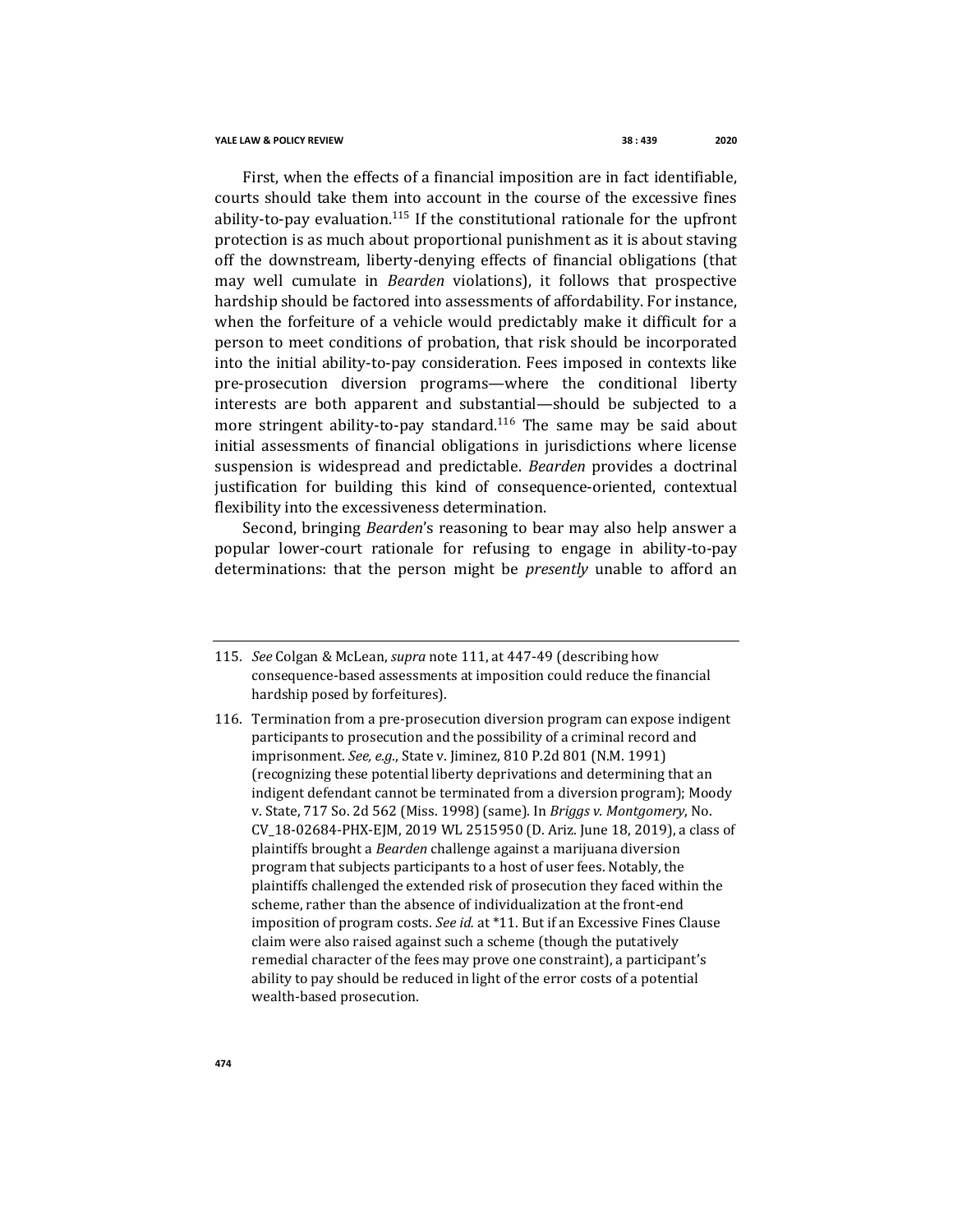First, when the effects of a financial imposition are in fact identifiable, courts should take them into account in the course of the excessive fines ability-to-pay evaluation.<sup>115</sup> If the constitutional rationale for the upfront protection is as much about proportional punishment as it is about staving off the downstream, liberty-denying effects of financial obligations (that may well cumulate in *Bearden* violations), it follows that prospective hardship should be factored into assessments of affordability. For instance, when the forfeiture of a vehicle would predictably make it difficult for a person to meet conditions of probation, that risk should be incorporated into the initial ability-to-pay consideration. Fees imposed in contexts like pre-prosecution diversion programs—where the conditional liberty interests are both apparent and substantial—should be subjected to a more stringent ability-to-pay standard.<sup>116</sup> The same may be said about initial assessments of financial obligations in jurisdictions where license suspension is widespread and predictable. *Bearden* provides a doctrinal justification for building this kind of consequence-oriented, contextual flexibility into the excessiveness determination.

Second, bringing *Bearden*'s reasoning to bear may also help answer a popular lower-court rationale for refusing to engage in ability-to-pay determinations: that the person might be *presently* unable to afford an

- 115*. See* Colgan & McLean, *supra* note 111, at 447-49 (describing how consequence-based assessments at imposition could reduce the financial hardship posed by forfeitures).
- 116. Termination from a pre-prosecution diversion program can expose indigent participants to prosecution and the possibility of a criminal record and imprisonment. *See, e.g.*, State v. Jiminez, 810 P.2d 801 (N.M. 1991) (recognizing these potential liberty deprivations and determining that an indigent defendant cannot be terminated from a diversion program); Moody v. State, 717 So. 2d 562 (Miss. 1998) (same). In *Briggs v. Montgomery*, No. CV\_18-02684-PHX-EJM, 2019 WL 2515950 (D. Ariz. June 18, 2019), a class of plaintiffs brought a *Bearden* challenge against a marijuana diversion program that subjects participants to a host of user fees. Notably, the plaintiffs challenged the extended risk of prosecution they faced within the scheme, rather than the absence of individualization at the front-end imposition of program costs. *See id.* at \*11. But if an Excessive Fines Clause claim were also raised against such a scheme (though the putatively remedial character of the fees may prove one constraint), a participant's ability to pay should be reduced in light of the error costs of a potential wealth-based prosecution.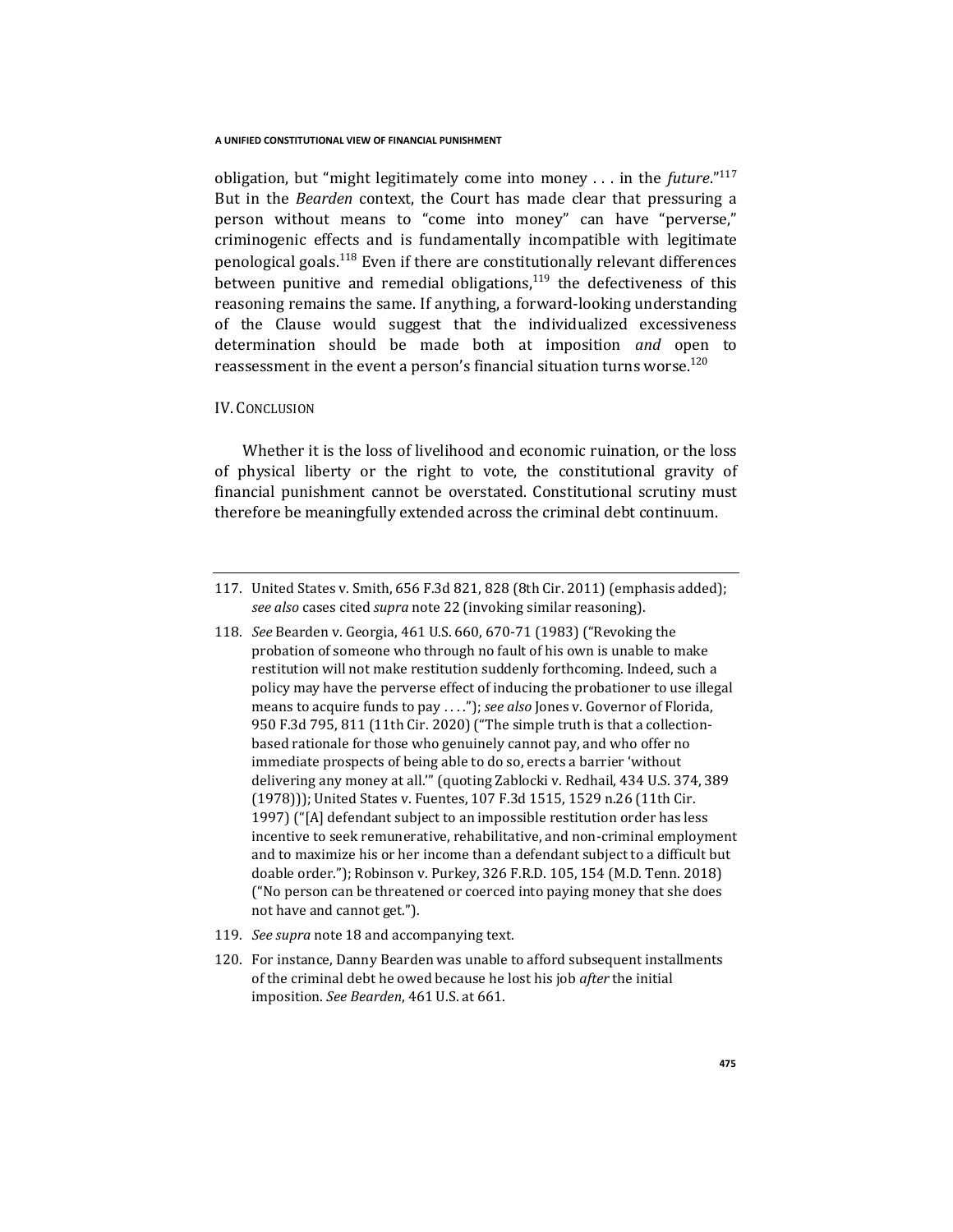obligation, but "might legitimately come into money . . . in the *future*."<sup>117</sup> But in the *Bearden* context, the Court has made clear that pressuring a person without means to "come into money" can have "perverse," criminogenic effects and is fundamentally incompatible with legitimate penological goals.<sup>118</sup> Even if there are constitutionally relevant differences between punitive and remedial obligations, $119$  the defectiveness of this reasoning remains the same. If anything, a forward-looking understanding of the Clause would suggest that the individualized excessiveness determination should be made both at imposition *and* open to reassessment in the event a person's financial situation turns worse. $^{120}$ 

## IV. CONCLUSION

Whether it is the loss of livelihood and economic ruination, or the loss of physical liberty or the right to vote, the constitutional gravity of financial punishment cannot be overstated. Constitutional scrutiny must therefore be meaningfully extended across the criminal debt continuum.

- 119*. See supra* note 18 and accompanying text.
- 120. For instance, Danny Bearden was unable to afford subsequent installments of the criminal debt he owed because he lost his job *after* the initial imposition. *See Bearden*, 461 U.S. at 661.

<sup>117.</sup> United States v. Smith, 656 F.3d 821, 828 (8th Cir. 2011) (emphasis added); *see also* cases cited *supra* note 22 (invoking similar reasoning).

<sup>118</sup>*. See* Bearden v. Georgia, 461 U.S. 660, 670-71 (1983) ("Revoking the probation of someone who through no fault of his own is unable to make restitution will not make restitution suddenly forthcoming. Indeed, such a policy may have the perverse effect of inducing the probationer to use illegal means to acquire funds to pay . . . ."); *see also* Jones v. Governor of Florida, 950 F.3d 795, 811 (11th Cir. 2020) ("The simple truth is that a collectionbased rationale for those who genuinely cannot pay, and who offer no immediate prospects of being able to do so, erects a barrier 'without delivering any money at all.'" (quoting Zablocki v. Redhail, 434 U.S. 374, 389 (1978))); United States v. Fuentes, 107 F.3d 1515, 1529 n.26 (11th Cir. 1997) ("[A] defendant subject to an impossible restitution order has less incentive to seek remunerative, rehabilitative, and non-criminal employment and to maximize his or her income than a defendant subject to a difficult but doable order."); Robinson v. Purkey, 326 F.R.D. 105, 154 (M.D. Tenn. 2018) ("No person can be threatened or coerced into paying money that she does not have and cannot get.").